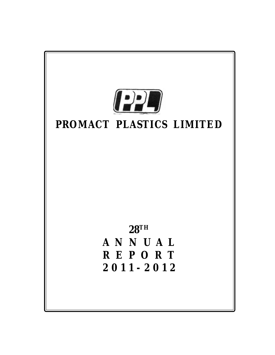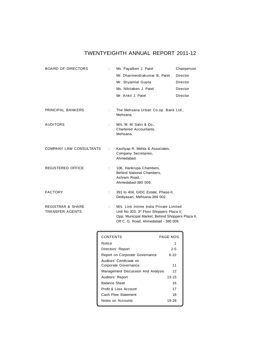# **TWENTYEIGHTH ANNUAL REPORT 2011-12**

| <b>BOARD OF DIRECTORS</b>                              |   | Ms. Payalben J. Patel                                                                                                                                                                      | Chairperson |  |
|--------------------------------------------------------|---|--------------------------------------------------------------------------------------------------------------------------------------------------------------------------------------------|-------------|--|
|                                                        |   | Mr. Dharmendrakumar B. Patel                                                                                                                                                               | Director    |  |
|                                                        |   | Mr. Shyamlal Gupta                                                                                                                                                                         | Director    |  |
|                                                        |   | Ms. Nikitaben J. Patel                                                                                                                                                                     | Director    |  |
|                                                        |   | Mr. Ankit J. Patel                                                                                                                                                                         | Director    |  |
| <b>PRINCIPAL BANKERS</b>                               | ÷ | The Mehsana Urban Co.op. Bank Ltd.,<br>Mehsana.                                                                                                                                            |             |  |
| <b>AUDITORS</b>                                        | ÷ | M/s. M. M. Salvi & Co.,<br>Chartered Accountants,<br>Mehsana.                                                                                                                              |             |  |
| <b>COMPANY LAW CONSULTANTS</b>                         |   | Kashyap R. Mehta & Associates,<br>Company Secretaries,<br>Ahmedabad.                                                                                                                       |             |  |
| <b>REGISTERED OFFICE</b>                               | ÷ | 106, Harikrupa Chambers,<br><b>Behind National Chambers.</b><br>Ashram Road.<br>Ahmedabad-380 009.                                                                                         |             |  |
| <b>FACTORY</b>                                         | ÷ | 391 to 404, GIDC Estate, Phase-II,<br>Dediyasan, Mehsana-384 002.                                                                                                                          |             |  |
| <b>REGISTRAR &amp; SHARE</b><br><b>TRANSFER AGENTS</b> | ÷ | M/s. Link Intime India Private Limited<br>Unit No 303, 3 <sup>rd</sup> Floor Shoppers Plaza V,<br>Opp. Municipal Market, Behind Shoppers Plaza II,<br>Off C. G. Road, Ahmedabad - 380 009. |             |  |

| <b>CONTENTS</b>                                   | <b>PAGE NOS</b> |
|---------------------------------------------------|-----------------|
| Notice                                            |                 |
| Directors' Report                                 | $2 - 5$         |
| Report on Corporate Governance                    | $6 - 10$        |
| Auditors' Certificiate on<br>Corporate Governance | 11              |
| Management Discussion And Analysis                | 12              |
| Auditors' Report                                  | $13 - 15$       |
| <b>Balance Sheet</b>                              | 16              |
| Profit & Loss Account                             | 17              |
| Cash Flow Statement                               | 18              |
| Notes on Accounts                                 | 19-28           |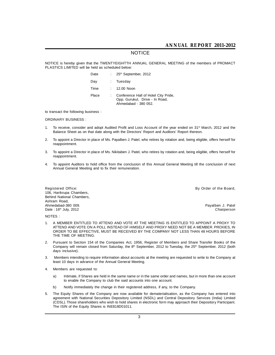# **NOTICE**

**NOTICE is hereby given that the TWENTYEIGHTTH ANNUAL GENERAL MEETING of the members of PROMACT PLASTICS LIMITED will be held as scheduled below:**

| Date  | : $25th$ September, 2012                                                                       |
|-------|------------------------------------------------------------------------------------------------|
| Day   | : Tuesday                                                                                      |
| Time  | $: 12.00$ Noon                                                                                 |
| Place | Conference Hall of Hotel City Pride,<br>Opp. Gurukul, Drive - In Road,<br>Ahmedabad - 380 052. |

**to transact the following business :**

#### **ORDINARY BUSINESS :**

- **1. To receive, consider and adopt Audited Profit and Loss Account of the year ended on 31st March, 2012 and the Balance Sheet as on that date along with the Directors' Report and Auditors' Report thereon.**
- **2. To appoint a Director in place of Ms. Payalben J. Patel, who retires by rotation and, being eligible, offers herself for reappointment.**
- **3. To appoint a Director in place of Ms. Nikitaben J. Patel, who retires by rotation and, being eligible, offers herself for reappointment.**
- **4. To appoint Auditors to hold office from the conclusion of this Annual General Meeting till the conclusion of next Annual General Meeting and to fix their remuneration.**

**106, Harikrupa Chambers, Behind National Chambers, Ashram Road, Ahmedabad-380 009. Payalben J. Patel Date : 16th July, 2012** *Chairperson*

**Registered Office: By Order of the Board,**

#### **NOTES :**

- **1. A MEMBER ENTITLED TO ATTEND AND VOTE AT THE MEETING IS ENTITLED TO APPOINT A PROXY TO ATTEND AND VOTE ON A POLL INSTEAD OF HIMSELF AND PROXY NEED NOT BE A MEMBER. PROXIES, IN ORDER TO BE EFFECTIVE, MUST BE RECEIVED BY THE COMPANY NOT LESS THAN 48 HOURS BEFORE THE TIME OF MEETING.**
- **2. Pursuant to Section 154 of the Companies Act, 1956, Register of Members and Share Transfer Books of the Company will remain closed from Saturday, the 8th September, 2012 to Tuesday, the 25th September, 2012 (both days inclusive).**
- **3. Members intending to require information about accounts at the meeting are requested to write to the Company at least 10 days in advance of the Annual General Meeting.**
- **4. Members are requested to:**
	- **a) Intimate, if Shares are held in the same name or in the same order and names, but in more than one account to enable the Company to club the said accounts into one account.**
	- **b) Notify immediately the change in their registered address, if any, to the Company.**
- **5. The Equity Shares of the Company are now available for dematerialisation, as the Company has entered into agreement with National Securities Depository Limited (NSDL) and Central Depository Services (India) Limited (CDSL). Those shareholders who wish to hold shares in electronic form may approach their Depository Participant. The ISIN of the Equity Shares is INE818D01011.**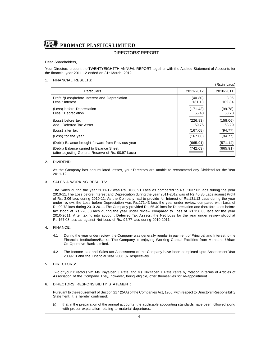# **DIRECTORS' REPORT**

**Dear Shareholders,**

**Your Directors present the TWENTYEIGHTTH ANNUAL REPORT together with the Audited Statement of Accounts for the financial year 2011-12 ended on 31st March, 2012.**

**(Rs.in Lacs)**

#### **1. FINANCIAL RESULTS:**

|                                                                                                 |                   | (RS.IN Lacs)      |
|-------------------------------------------------------------------------------------------------|-------------------|-------------------|
| <b>Particulars</b>                                                                              | 2011-2012         | 2010-2011         |
| Profit /(Loss)before Interest and Depreciation<br>Less: Interest                                | (40.30)<br>131.13 | 3.06<br>102.84    |
| (Loss) before Depreciation<br>Less: Depreciation                                                | (171.43)<br>55.40 | (99.78)<br>58.28  |
| (Loss) before tax<br>Add: Deferred Tax Asset                                                    | (226.83)<br>59.75 | (158.06)<br>63.29 |
| (Loss) after tax                                                                                | (167.08)          | (94.77)           |
| (Loss) for the year                                                                             | (167.08)          | (94.77)           |
| (Debit) Balance brought forward from Previous year                                              | (665.91)          | (571.14)          |
| (Debit) Balance carried to Balance Sheet<br>(after adjusting General Reserve of Rs. 90.97 Lacs) | (742.03)          | (665.91)          |

#### **2. DIVIDEND:**

**As the Company has accumulated losses, your Directors are unable to recommend any Dividend for the Year 2011-12.**

#### **3. SALES & WORKING RESULTS:**

**The Sales during the year 2011-12 was Rs. 1038.91 Lacs as compared to Rs. 1037.02 lacs during the year 2010-11. The Loss before Interest and Depreciation during the year 2011-2012 was of Rs.40.30 Lacs against Profit of Rs. 3.06 lacs during 2010-11. As the Company had to provide for Interest of Rs.131.13 Lacs during the year under review, the Loss before Depreciation was Rs.171.43 lacs the year under review, compared with Loss of Rs.99.78 lacs during 2010-2011. The Company provided Rs. 55.40 lacs for Depreciation and therefore Loss before tax stood at Rs.226.83 lacs during the year under review compared to Loss of Rs.158.06 lacs for the year 2010-2011. After taking into account Deferred Tax Assets, the Net Loss for the year under review stood at Rs.167.08 lacs as against Net Loss of Rs. 94.77 lacs during 2010-2011.**

#### **4. FINANCE:**

- **4.1 During the year under review, the Company was generally regular in payment of Principal and Interest to the Financial Institutions/Banks. The Company is enjoying Working Capital Facilities from Mehsana Urban Co-Operative Bank Limited.**
- **4.2 The Income tax and Sales-tax Assessment of the Company have been completed upto Assessment Year 2009-10 and the Financial Year 2006 07 respectively.**

#### **5. DIRECTORS:**

**Two of your Directors viz. Ms. Payalben J. Patel and Ms. Nikitaben J. Patel retire by rotation in terms of Articles of Association of the Company. They, however, being eligible, offer themselves for re-appointment.**

#### **6. DIRECTORS' RESPONSIBILITY STATEMENT:**

**Pursuant to the requirement of Section 217 (2AA) of the Companies Act, 1956, with respect to Directors' Responsibility Statement, it is hereby confirmed:**

**(i) that in the preparation of the annual accounts, the applicable accounting standards have been followed along with proper explanation relating to material departures;**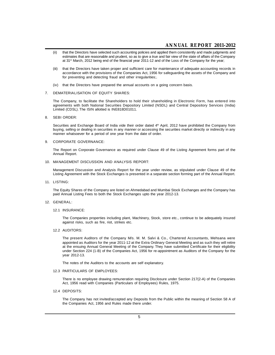- **(ii) that the Directors have selected such accounting policies and applied them consistently and made judgments and estimates that are reasonable and prudent, so as to give a true and fair view of the state of affairs of the Company at 31st March, 2012 being end of the financial year 2011-12 and of the Loss of the Company for the year;**
- **(iii) that the Directors have taken proper and sufficient care for maintenance of adequate accounting records in accordance with the provisions of the Companies Act, 1956 for safeguarding the assets of the Company and for preventing and detecting fraud and other irregularities;.**
- **(iv) that the Directors have prepared the annual accounts on a going concern basis.**

#### **7. DEMATERIALISATION OF EQUITY SHARES:**

**The Company, to facilitate the Shareholders to hold their shareholding in Electronic Form, has entered into agreements with both National Securities Depository Limited (NSDL) and Central Depository Services (India) Limited (CDSL). The ISIN allotted is INE818D01011.**

#### **8. SEBI ORDER:**

**Securities and Exchange Board of India vide their order dated 4th April, 2012 have prohibited the Company from buying, selling or dealing in securities in any manner or accessing the securities market directly or indirectly in any manner whatsoever for a period of one year from the date of order.**

#### **9. CORPORATE GOVERNANCE:**

**The Report on Corporate Governance as required under Clause 49 of the Listing Agreement forms part of the Annual Report.**

#### **10. MANAGEMENT DISCUSSION AND ANALYSIS REPORT:**

**Management Discussion and Analysis Report for the year under review, as stipulated under Clause 49 of the Listing Agreement with the Stock Exchanges is presented in a separate section forming part of the Annual Report.**

#### **11. LISTING:**

**The Equity Shares of the Company are listed on Ahmedabad and Mumbai Stock Exchanges and the Company has paid Annual Listing Fees to both the Stock Exchanges upto the year 2012-13.**

#### **12. GENERAL:**

**12.1 INSURANCE:**

**The Companies properties including plant, Machinery, Stock, store etc., continue to be adequately insured against risks, such as fire, riot, strikes etc.**

#### **12.2 AUDITORS:**

**The present Auditors of the Company M/s. M. M. Salvi & Co., Chartered Accountants, Mehsana were appointed as Auditors for the year 2011-12 at the Extra Ordinary General Meeting and as such they will retire at the ensuing Annual General Meeting of the Company. They have submitted Certificate for their eligibility under Section 224 (1-B) of the Companies Act, 1956 for re-appointment as Auditors of the Company for the year 2012-13.**

**The notes of the Auditors to the accounts are self explanatory.**

#### **12.3 PARTICULARS OF EMPLOYEES:**

**There is no employee drawing remuneration requiring Disclosure under Section 217(2-A) of the Companies Act, 1956 read with Companies (Particulars of Employees) Rules, 1975.**

#### **12.4 DEPOSITS:**

**The Company has not invited/accepted any Deposits from the Public within the meaning of Section 58 A of the Companies Act, 1956 and Rules made there under.**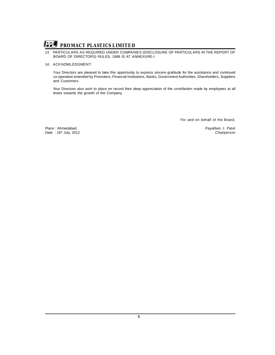

### **13. PARTICULARS AS REQUIRED UNDER COMPANIES (DISCLOSURE OF PARTICULARS IN THE REPORT OF BOARD OF DIRECTORS) RULES, 1988 IS AT ANNEXURE-I.**

#### **14. ACKNOWLEDGMENT:**

**Your Directors are pleased to take this opportunity to express sincere gratitude for the assistance and continued co-operation extended by Promoters, Financial Institutions, Banks, Government Authorities, Shareholders, Suppliers and Customers.**

**Your Directors also wish to place on record their deep appreciation of the contribution made by employees at all levels towards the growth of the Company.**

**For and on behalf of the Board,**

**Place : Ahmedabad. Payalben J. Patel** Date : 16<sup>th</sup> July, 2012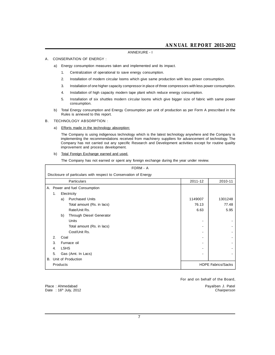#### **ANNEXURE - I**

#### **A. CONSERVATION OF ENERGY :**

**a) Energy consumption measures taken and implemented and its impact.**

- **1. Centralization of operational to save energy consumption.**
- **2. Installation of modern circular looms which give same production with less power consumption.**
- **3. Installation of one higher capacity compressor in place of three compressors with less power consumption.**
- **4. Installation of high capacity modern tape plant which reduce energy consumption.**
- **5. Installation of six shuttles modern circular looms which give bigger size of fabric with same power consumption.**
- **b) Total Energy consumption and Energy Consumption per unit of production as per Form A prescribed in the Rules is annexed to this report.**

#### **B. TECHNOLOGY ABSORPTION :**

**a) Efforts made in the technology absorption:**

**The Company is using indigenous technology which is the latest technology anywhere and the Company is implementing the recommendations received from machinery suppliers for advancement of technology. The Company has not carried out any specific Research and Development activities except for routine quality improvement and process development.**

**b) Total Foreign Exchange earned and used.**

**The Company has not earned or spent any foreign exchange during the year under review.**

| <b>FORM - A</b>                                                  |             |                               |         |                           |  |  |
|------------------------------------------------------------------|-------------|-------------------------------|---------|---------------------------|--|--|
| Disclosure of particulars with respect to Conservation of Energy |             |                               |         |                           |  |  |
|                                                                  |             | Particulars                   | 2011-12 | 2010-11                   |  |  |
|                                                                  |             | A. Power and fuel Consumption |         |                           |  |  |
| 1.                                                               |             | Electricity                   |         |                           |  |  |
|                                                                  | a)          | <b>Purchased Units</b>        | 1149007 | 1301248                   |  |  |
|                                                                  |             | Total amount (Rs. in lacs)    | 76.13   | 77.48                     |  |  |
|                                                                  |             | Rate/Unit Rs.                 | 6.63    | 5.95                      |  |  |
|                                                                  | b)          | Through Diesel Generator      |         |                           |  |  |
|                                                                  |             | Units                         |         |                           |  |  |
|                                                                  |             | Total amount (Rs. in lacs)    |         |                           |  |  |
|                                                                  |             | Cost/Unit Rs.                 |         |                           |  |  |
| 2.                                                               | Coal        |                               |         |                           |  |  |
| 3.                                                               |             | Furnace oil                   |         |                           |  |  |
| 4.                                                               | <b>LSHS</b> |                               |         |                           |  |  |
| 5.                                                               |             | Gas (Amt. In Lacs)            |         |                           |  |  |
|                                                                  |             | B. Unit of Production         |         |                           |  |  |
|                                                                  | Products    |                               |         | <b>HDPE Fabrics/Sacks</b> |  |  |

**For and on behalf of the Board,**

**Place : Ahmedabad Payalben J. Patel Date : 16th July, 2012** *Chairperson*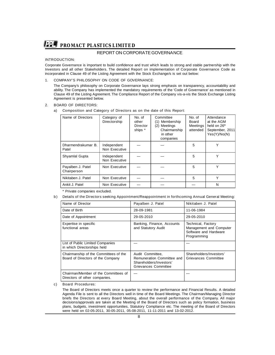## **REPORT ON CORPORATE GOVERNANCE**

#### **INTRODUCTION:**

**Corporate Governance is important to build confidence and trust which leads to strong and stable partnership with the Investors and all other Stakeholders. The detailed Report on implementation of Corporate Governance Code as incorporated in Clause 49 of the Listing Agreement with the Stock Exchange/s is set out below:**

#### **1. COMPANY'S PHILOSOPHY ON CODE OF GOVERNANCE:**

**The Company's philosophy on Corporate Governance lays strong emphasis on transparency, accountability and ability. The Company has implemented the mandatory requirements of the 'Code of Governance' as mentioned in Clause 49 of the Listing Agreement. The Compliance Report of the Company vis-a-vis the Stock Exchange Listing Agreement is presented below.**

#### **2. BOARD OF DIRECTORS:**

#### **a) Composition and Category of Directors as on the date of this Report:**

| Name of Directors                | Category of<br>Directorship  | No. of<br>other<br>Director<br>ships * | Committee<br>(1) Membership<br>Meetings<br>(2)<br>Chairmanship<br>in other<br>companies | No. of<br>Board<br>Meetings<br>attended | Attendance<br>at the AGM<br>held on 26 <sup>th</sup><br>September, 2011<br>Yes(Y)/No(N) |
|----------------------------------|------------------------------|----------------------------------------|-----------------------------------------------------------------------------------------|-----------------------------------------|-----------------------------------------------------------------------------------------|
| Dharmendrakumar B.<br>Patel      | Independent<br>Non Executive |                                        |                                                                                         | 5                                       | v                                                                                       |
| Shyamlal Gupta                   | Independent<br>Non Executive |                                        |                                                                                         | 5                                       | ٧                                                                                       |
| Payalben J. Patel<br>Chairperson | Non Executive                |                                        |                                                                                         | 5                                       |                                                                                         |
| Nikitaben J. Patel               | Non Executive                |                                        |                                                                                         | 5                                       | Υ                                                                                       |
| Ankit J. Patel                   | Non Executive                |                                        |                                                                                         |                                         | N                                                                                       |

#### **\* Private companies excluded.**

#### **b ) Details of the Directors seeking Appointment/Reappointment in forthcoming Annual General Meeting:**

| Name of Director                                                           | Payalben J. Patel                                                                                 | Nikitaben J. Patel                                                                    |
|----------------------------------------------------------------------------|---------------------------------------------------------------------------------------------------|---------------------------------------------------------------------------------------|
| Date of Birth                                                              | 28-09-1981                                                                                        | 11-06-1984                                                                            |
| Date of Appointment                                                        | 29-05-2010                                                                                        | 29-05-2010                                                                            |
| Expertise in specific<br>functional areas                                  | Banking, Finance, Accounts<br>and Statutory Audit                                                 | Technical, Factory<br>Management and Computer<br>Software and Hardware<br>Programming |
| List of Public Limited Companies<br>in which Directorships held            |                                                                                                   |                                                                                       |
| Chairmanship of the Committees of the<br>Board of Directors of the Company | Audit Committee,<br>Remuneration Committee and<br>Shareholders/Investors'<br>Grievances Committee | Shareholders/Investors'<br>Grievances Committee                                       |
| Chairman/Member of the Committees of<br>Directors of other companies.      |                                                                                                   |                                                                                       |

#### **c) Board Procedures:**

**The Board of Directors meets once a quarter to review the performance and Financial Results. A detailed Agenda File is sent to all the Directors well in time of the Board Meetings. The Chairman/Managing Director briefs the Directors at every Board Meeting, about the overall performance of the Company. All major decisions/approvals are taken at the Meeting of the Board of Directors such as policy formation, business plans, budgets, investment opportunities, Statutory Compliance etc. The meeting of the Board of Directors were held on 02-05-2011, 30-05-2011, 05-08-2011, 11-11-2011 and 13-02-2012.**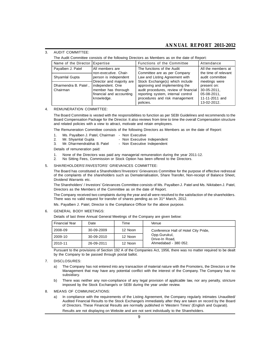# **ANNUAL REPORT 2011-2012**

#### **3. AUDIT COMMITTEE:**

**The Audit Committee consists of the following Directors as Members as on the date of Report:**

| Name of the Director Expertise   |                                                                                                                | <b>Functions of the Committee</b>                                                                                                                                                               | Attendance                                                                                  |
|----------------------------------|----------------------------------------------------------------------------------------------------------------|-------------------------------------------------------------------------------------------------------------------------------------------------------------------------------------------------|---------------------------------------------------------------------------------------------|
| Payalben J. Patel                | All members are                                                                                                | The functions of the Audit                                                                                                                                                                      | All the members at                                                                          |
| Shyamlal Gupta                   | non-executive. Chair-<br>person is independent                                                                 | Committee are as per Company<br>Law and Listing Agreement with                                                                                                                                  | the time of relevant<br>audit committee                                                     |
| Dharmendra B. Patel,<br>Chairman | Director and majority are<br>independent. One<br>member has thorough<br>financial and accounting<br>knowledge. | Stock Exchange(s) which include<br>approving and implementing the<br>audit procedures, review of financial<br>reporting system, internal control<br>procedures and risk management<br>policies. | meetings were<br>present on:<br>30-05-2011.<br>05-08-2011,<br>11-11-2011 and<br>13-02-2012. |

#### **4. REMUNERATION COMMITTEE:**

**The Board Committee is vested with the responsibilities to function as per SEBI Guidelines and recommends to the Board Compensation Package for the Director. It also reviews from time to time the overall Compensation structure and related policies with a view to attract, motivate and retain employees.**

**The Remuneration Committee consists of the following Directors as Members as on the date of Report:**

- **1. Ms. Payalben J. Patel, Chairman - Non Executive**
	-
- **2. Mr. Shyamlal Gupta - Non Executive Independent 3. Mr. Dharmendrabhai B. Patel - Non Executive Independent**

**Details of remuneration paid:**

- **1. None of the Directors was paid any managerial remuneration during the year 2011-12.**
- **2. No Sitting Fees, Commission or Stock Option has been offered to the Directors.**

#### **5. SHAREHOLDERS'/INVESTORS' GRIEVANCES COMMITTEE:**

**The Board has constituted a Shareholders'/Investors' Grievances Committee for the purpose of effective redressal of the complaints of the shareholders such as Dematerialisation, Share Transfer, Non-receipt of Balance Sheet, Dividend Warrants etc.**

**The Shareholders' / Investors' Grievances Committee consists of Ms. Payalben J. Patel and Ms. Nikitaben J. Patel, Directors as the Members of the Committee as on the date of Report.**

**The Company received two complaints during the year and all were resolved to the satisfaction of the shareholders. There was no valid request for transfer of shares pending as on 31st March, 2012.**

**Ms. Payalben J. Patel, Director is the Compliance Officer for the above purpose.**

#### **6. GENERAL BODY MEETINGS:**

**Details of last three Annual General Meetings of the Company are given below:**

| <b>Financial Year</b> | Date       | Time    | Venue                                |
|-----------------------|------------|---------|--------------------------------------|
| 2008-09               | 30-09-2009 | 12 Noon | Conference Hall of Hotel City Pride, |
| 2009-10               | 30-09-2010 | 12 Noon | Opp.Gurukul,<br>Drive-In Road.       |
| l 2010-11             | 26-09-2011 | 12 Noon | Ahmedabad - 380 052.                 |

**Pursuant to the provisions of Section 192 A of the Companies Act, 1956, there was no matter required to be dealt by the Company to be passed through postal ballot.**

#### **7. DISCLOSURES:**

- **a) The Company has not entered into any transaction of material nature with the Promoters, the Directors or the Management that may have any potential conflict with the interest of the Company. The Company has no subsidiary.**
- **b) There was neither any non-compliance of any legal provision of applicable law, nor any penalty, stricture imposed by the Stock Exchange/s or SEBI during the year under review.**

#### **8. MEANS OF COMMUNICATIONS:**

**a) In compliance with the requirements of the Listing Agreement, the Company regularly intimates Unaudited/ Audited Financial Results to the Stock Exchange/s immediately after they are taken on record by the Board of Directors. These Financial Results are normally published in 'Western Times' (English and Gujarati).**

**Results are not displaying on Website and are not sent individually to the Shareholders.**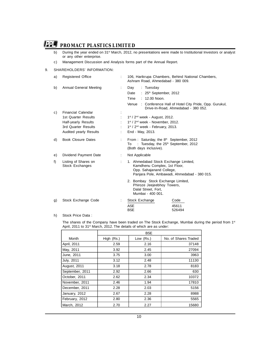- **b) During the year ended on 31st March, 2012, no presentations were made to Institutional Investors or analyst or any other enterprise.**
- **c) Management Discussion and Analysis forms part of the Annual Report.**

### **9. SHAREHOLDERS' INFORMATION:**

| a) | <b>Registered Office</b>                                                                                                        | 106, Harikrupa Chambers, Behind National Chambers,<br>Ashram Road, Ahmedabad - 380 009.                                                                                                 |                         |  |
|----|---------------------------------------------------------------------------------------------------------------------------------|-----------------------------------------------------------------------------------------------------------------------------------------------------------------------------------------|-------------------------|--|
| b) | Annual General Meeting                                                                                                          | : Tuesday<br>Day<br>Date<br>: $25th$ September, 2012<br>Time<br>$: 12.00$ Noon.<br>Venue<br>: Conference Hall of Hotel City Pride, Opp. Gurukul,<br>Drive-In-Road, Ahmedabad - 380 052. |                         |  |
| C) | <b>Financial Calendar</b><br>1st Quarter Results<br>Half-yearly Results<br>3rd Quarter Results<br><b>Audited yearly Results</b> | $1st$ / $2nd$ week - August, 2012.<br>1st / 2 <sup>nd</sup> week - November, 2012.<br>1st / 2 <sup>nd</sup> week - February, 2013.<br>End - May, 2013.                                  |                         |  |
| d) | <b>Book Closure Dates</b>                                                                                                       | From: Saturday, the 8 <sup>th</sup> September, 2012<br>: Tuesday, the $25th$ September, 2012<br>To<br>(Both days inclusive).                                                            |                         |  |
| e) | Dividend Payment Date                                                                                                           | Not Applicable                                                                                                                                                                          |                         |  |
| f) | Listing of Shares on<br>Stock Exchanges                                                                                         | 1. Ahmedabad Stock Exchange Limited,<br>Kamdhenu Complex, 1st Floor,<br>Opp. Sahajanand College,<br>Panjara Pole, Ambawadi, Ahmedabad - 380 015.                                        |                         |  |
|    |                                                                                                                                 | 2. Bombay Stock Exchange Limited,<br>Phiroze Jeejeebhoy Towers,<br>Dalal Street, Fort,<br>Mumbai - 400 001.                                                                             |                         |  |
| g) | Stock Exchange Code                                                                                                             | Stock Exchange<br><b>ASE</b><br><b>BSE</b>                                                                                                                                              | Code<br>45611<br>526494 |  |

#### **h) Stock Price Data :**

**The shares of the Company have been traded on The Stock Exchange, Mumbai during the period from 1st April, 2011 to 31st March, 2012. The details of which are as under:**

|                 | <b>BSE</b> |             |                      |  |  |  |
|-----------------|------------|-------------|----------------------|--|--|--|
| Month           | High (Rs.) | Low $(Rs.)$ | No. of Shares Traded |  |  |  |
| April, 2011     | 2.59       | 2.16        | 37148                |  |  |  |
| May, 2011       | 3.92       | 2.45        | 27094                |  |  |  |
| June, 2011      | 3.75       | 3.00        | 3963                 |  |  |  |
| July, 2011      | 3.12       | 2.48        | 11130                |  |  |  |
| August, 2011    | 3.18       | 2.78        | 8183                 |  |  |  |
| September, 2011 | 2.92       | 2.66        | 630                  |  |  |  |
| October, 2011   | 2.62       | 2.34        | 10372                |  |  |  |
| November, 2011  | 2.46       | 1.94        | 17810                |  |  |  |
| December, 2011  | 2.28       | 2.03        | 5156                 |  |  |  |
| January, 2012   | 2.67       | 2.28        | 8988                 |  |  |  |
| February, 2012  | 2.80       | 2.36        | 5565                 |  |  |  |
| March, 2012     | 2.70       | 2.27        | 15680                |  |  |  |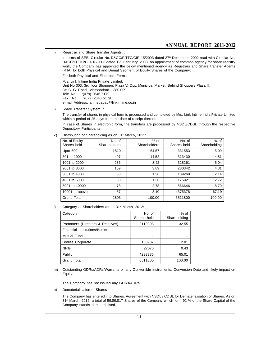**i) Registrar and Share Transfer Agents. :**

**In terms of SEBI Circular No. D&CC/FITTC/CIR-15/2003 dated 27th December, 2002 read with Circular No. D&CC/FITTC/CIR-18/2003 dated 12th February, 2003, on appointment of common agency for share registry work, the Company has appointed the below mentioned agency as Registrars and Share Transfer Agents (RTA) for both Physical and Demat Segment of Equity Shares of the Company:**

**For both Physical and Electronic Form :**

**M/s. Link Intime India Private Limited. Unit No 303, 3rd floor Shoppers Plaza V, Opp. Municipal Market, Behind Shoppers Plaza II, Off C. G. Road,, Ahmedabad – 380 009 Tele. No. :(079) 2646 5179 Fax No. :(079) 2646 5179 e-mail Address: ahmedabad@linkintime.co.in**

**j) Share Transfer System :**

**The transfer of shares in physical form is processed and completed by M/s. Link Intime India Private Limited within a period of 25 days from the date of receipt thereof.**

**In case of Shares in electronic form, the transfers are processed by NSDL/CDSL through the respective Depository Participants.**

| No. of Equity<br>Shares held | No. of<br>Shareholders | $%$ of<br>Shareholders | No. of<br>Shares held | $%$ of<br>Shareholding |
|------------------------------|------------------------|------------------------|-----------------------|------------------------|
| Upto 500                     | 1810                   | 64.57                  | 331553                | 5.09                   |
| 501 to 1000                  | 407                    | 14.52                  | 313430                | 4.81                   |
| 1001 to 2000                 | 236                    | 8.42                   | 328261                | 5.04                   |
| 2001 to 3000                 | 109                    | 3.89                   | 280342                | 4.31                   |
| 3001 to 4000                 | 38                     | 1.36                   | 139269                | 2.14                   |
| 4001 to 5000                 | 38                     | 1.36                   | 176921                | 2.72                   |
| 5001 to 10000                | 78                     | 2.78                   | 566646                | 8.70                   |
| 10001 to above               | 87                     | 3.10                   | 4375378               | 67.19                  |
| <b>Grand Total</b>           | 2803                   | 100.00                 | 6511800               | 100.00                 |

**k) Distribution of Shareholding as on 31st March, 2012:**

**l) Category of Shareholders as on 31st March, 2012:**

| Category                            | No. of<br>Shares held | $%$ of<br>Shareholding |
|-------------------------------------|-----------------------|------------------------|
| Promoters (Directors & Relatives)   | 2119808               | 32.55                  |
| <b>Financial Institutions/Banks</b> |                       |                        |
| <b>Mutual Fund</b>                  |                       |                        |
| <b>Bodies Corporate</b>             | 130937                | 2.01                   |
| <b>NRIS</b>                         | 27670                 | 0.43                   |
| Public                              | 4233385               | 65.01                  |
| <b>Grand Total</b>                  | 6511800               | 100.00                 |

**m) Outstanding GDRs/ADRs/Warrants or any Convertible Instruments, Conversion Date and likely impact on Equity:**

**The Company has not issued any GDRs/ADRs.**

**n) Dematerialisation of Shares :**

**The Company has entered into Shares. Agreement with NSDL / CDSL for Dematerialisation of Shares. As on 31st March, 2012, a total of 59,89,817 Shares of the Company which form 92 % of the Share Capital of the Company stands dematerialised.**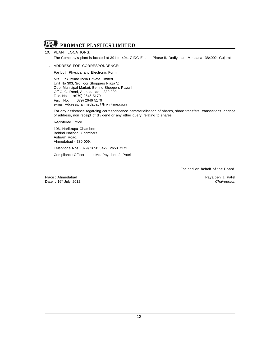

#### **10. PLANT LOCATIONS:**

**The Company's plant is located at 391 to 404, GIDC Estate, Phase-II, Dediyasan, Mehsana 384002, Gujarat**

#### **11. ADDRESS FOR CORRESPONDENCE:**

**For both Physical and Electronic Form:**

**M/s. Link Intime India Private Limited. Unit No 303, 3rd floor Shoppers Plaza V, Opp. Municipal Market, Behind Shoppers Plaza II, Off C. G. Road, Ahmedabad – 380 009 Tele. No. :(079) 2646 5179 Fax No. :(079) 2646 5179 e-mail Address: ahmedabad@linkintime.co.in**

**For any assistance regarding correspondence dematerialisation of shares, share transfers, transactions, change of address, non receipt of dividend or any other query, relating to shares:**

**Registered Office :**

**106, Harikrupa Chambers, Behind National Chambers, Ashram Road, Ahmedabad - 380 009.**

**Telephone Nos.:(079) 2658 3479, 2658 7373**

**Compliance Officer : Ms. Payalben J. Patel**

**For and on behalf of the Board,**

**Place : Ahmedabad Payalben J. Patel Date : 16th July, 2012.** *Chairperson*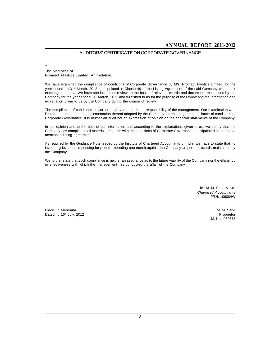# **AUDITORS' CERTIFICATE ON CORPORATE GOVERNANCE**

#### **To The Members of Promact Plastics Limited, Ahmedabad**

**We have examined the compliance of conditions of Corporate Governance by M/s. Promact Plastics Limited, for the year ended on 31st March, 2012 as stipulated in Clause 49 of the Listing Agreement of the said Company with stock exchanges in India. We have conducted our review on the basis of relevant records and documents maintained by the Company for the year ended 31st March, 2012 and furnished to us for the purpose of the review and the information and explanation given to us by the Company during the course of review.**

**The compliance of conditions of Corporate Governance is the responsibility of the management. Our examination was limited to procedures and implementation thereof adopted by the Company for ensuring the compliance of conditions of Corporate Governance. It is neither an audit nor an expression of opinion on the financial statements of the Company.**

**In our opinion and to the best of our information and according to the explanations given to us, we certify that the Company has complied in all materials respects with the conditions of Corporate Governance as stipulated in the above mentioned listing agreement.**

**As required by the Guidance Note issued by the Institute of Chartered Accountants of India, we have to state that no investor grievances is pending for period exceeding one month against the Company as per the records maintained by the Company.**

**We further state that such compliance is neither an assurance as to the future viability of the Company nor the efficiency or effectiveness with which the management has conducted the affair of the Company.**

> **for M. M. Salvi & Co.** *Chartered Accountants* **FRN: 109004W**

**Place : Mehsana M. M. Salvi Dated : 16th July, 2012 Proprietor**

**M. No.: 030678**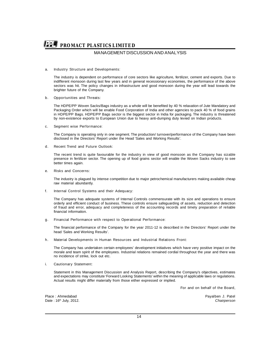# **MANAGEMENT DISCUSSION AND ANALYSIS**

#### **a. Industry Structure and Developments:**

**The industry is dependent on performance of core sectors like agriculture, fertilizer, cement and exports. Due to indifferent monsoon during last few years and in general recessionary economies, the performance of the above sectors was hit. The policy changes in infrastructure and good monsoon during the year will lead towards the brighter future of the Company.**

#### **b. Opportunities and Threats:**

**The HDPE/PP Woven Sacks/Bags industry as a whole will be benefited by 40 % relaxation of Jute Mandatory and Packaging Order which will be enable Food Corporation of India and other agencies to pack 40 % of food grains in HDPE/PP Bags. HDPE/PP Bags sector is the biggest sector in India for packaging. The industry is threatened by non-existence exports to European Union due to heavy anti-dumping duty levied on Indian products.**

#### **c. Segment wise Performance:**

**The Company is operating only in one segment. The production/ turnover/performance of the Company have been disclosed in the Directors' Report under the Head 'Sales and Working Results'.**

#### **d. Recent Trend and Future Outlook:**

**The recent trend is quite favourable for the industry in view of good monsoon as the Company has sizable presence in fertilizer sector. The opening up of food grains sector will enable the Woven Sacks industry to see better times again.**

#### **e. Risks and Concerns:**

**The industry is plagued by intense competition due to major petrochemical manufacturers making available cheap raw material abundantly.**

#### **f. Internal Control Systems and their Adequacy:**

**The Company has adequate systems of Internal Controls commensurate with its size and operations to ensure orderly and efficient conduct of business. These controls ensure safeguarding of assets, reduction and detection of fraud and error, adequacy and completeness of the accounting records and timely preparation of reliable financial information.**

#### **g. Financial Performance with respect to Operational Performance:**

**The financial performance of the Company for the year 2011-12 is described in the Directors' Report under the head 'Sales and Working Results'.**

#### **h. Material Developments in Human Resources and Industrial Relations Front:**

**The Company has undertaken certain employees' development initiatives which have very positive impact on the morale and team spirit of the employees. Industrial relations remained cordial throughout the year and there was no incidence of strike, lock out etc.**

#### **i. Cautionary Statement:**

**Statement in this Management Discussion and Analysis Report, describing the Company's objectives, estimates and expectations may constitute 'Forward Looking Statements' within the meaning of applicable laws or regulations. Actual results might differ materially from those either expressed or implied.**

**For and on behalf of the Board,**

**Place : Ahmedabad Payalben J. Patel**  $Date: 16<sup>th</sup>$  July, 2012.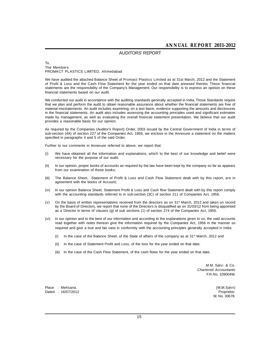### **AUDITORS' REPORT**

#### **To, The Members PROMACT PLASTICS LIMITED, Ahmedabad**

**We have audited the attached Balance Sheet of Promact Plastics Limited as at 31st March, 2012 and the Statement of Profit & Loss and the Cash Flow Statement for the year ended on that date annexed thereto. These financial statements are the responsibility of the Company's Management. Our responsibility is to express an opinion on these financial statements based on our audit.**

**We conducted our audit in accordance with the auditing standards generally accepted in India. Those Standards require that we plan and perform the audit to obtain reasonable assurance about whether the financial statements are free of material misstatements. An audit includes examining, on a test basis, evidence supporting the amounts and disclosures in the financial statements. An audit also includes assessing the accounting principles used and significant estimates made by management, as well as evaluating the overall financial statement presentation. We believe that our audit provides a reasonable basis for our opinion.**

**As required by the Companies (Auditor's Report) Order, 2003 issued by the Central Government of India in terms of sub-section (4A) of section 227 of the Companies Act, 1956, we enclose in the Annexure a statement on the matters specified in paragraphs 4 and 5 of the said Order.**

**Further to our comments in Annexure referred to above, we report that:**

- **(i) We have obtained all the information and explanations, which to the best of our knowledge and belief were necessary for the purpose of our audit;**
- **(ii) In our opinion, proper books of accounts as required by the law have been kept by the company so far as appears from our examination of those books;**
- **(iii) The Balance Sheet, Statement of Profit & Loss and Cash Flow Statement dealt with by this report, are in agreement with the books of Account;**
- **(iv) In our opinion Balance Sheet, Statement Profit & Loss and Cash flow Statement dealt with by this report comply with the accounting standards referred to in sub-section (3C) of section 211 of Companies Act, 1956.**
- **(v) On the basis of written representations received from the directors as on 31st March, 2012 and taken on record by the Board of Directors, we report that none of the Directors is disqualified as on 31/03/12 from being appointed as a Director in terms of clauses (g) of sub sections (1) of section 274 of the Companies Act, 1956.**
- **(vi) In our opinion and to the best of our information and according to the explanations given to us, the said accounts read together with notes thereon give the information required by the Companies Act, 1956 in the manner so required and give a true and fair view in conformity with the accounting principles generally accepted in India:**
	- **(i) In the case of the Balance Sheet, of the State of affairs of the company as at 31st March, 2012 and**
	- **(ii) In the case of Statement Profit and Loss, of the loss for the year ended on that date.**
	- **(iii) In the case of the Cash Flow Statement, of the cash flows for the year ended on that date.**

**M.M. Salvi & Co.** *Chartered Accountants* **F.R.No. 109004W.**

**Place : Mehsana. (M.M.Salvi) Dated : 16/07/2012 Proprietor.**

**M. No. 30678.**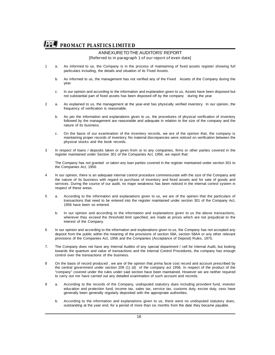#### **ANNEXURE TO THE AUDITORS' REPORT [Referred to in paragraph 1 of our report of even date]**

- **1 a. As informed to us, the Company is in the process of maintaining of fixed assets register showing full particulars including, the details and situation of its Fixed Assets.**
	- **b. As informed to us, the management has not verified any of the Fixed Assets of the Company during the year.**
	- **c. In our opinion and according to the information and explanation given to us, Assets have been disposed but not substantial part of fixed assets has been disposed off by the company during the year**
- **2 a. As explained to us, the management at the year-end has physically verified inventory. In our opinion, the frequency of verification is reasonable.**
	- **b. As per the information and explanations given to us, the procedures of physical verification of inventory followed by the management are reasonable and adequate in relation to the size of the company and the nature of its business.**
	- **c. On the basis of our examination of the inventory records, we are of the opinion that, the company is maintaining proper records of inventory. No material discrepancies were noticed on verification between the physical stocks and the book records.**
- **3 In respect of loans / deposits taken or given from or to any companies, firms or other parties covered in the register maintained under Section 301 of the Companies Act, 1956, we report that:**

**The Company has not granted or taken any loan parties covered in the register maintained under section 301 to the Companies Act, 1956.**

- **4 In our opinion, there is an adequate internal control procedure commensurate with the size of the Company and the nature of its business with regard to purchase of inventory and fixed assets and for sale of goods and services. During the course of our audit, no major weakness has been noticed in the internal control system in respect of these areas.**
- **5 a. According to the information and explanations given to us, we are of the opinion that the particulars of transactions that need to be entered into the register maintained under section 301 of the Company Act, 1956 have been so entered.**
	- **b. In our opinion and according to the information and explanations given to us the above transactions, wherever they exceed the threshold limit specified, are made at prices which are not prejudicial to the interest of the Company.**
- **6 In our opinion and according to the information and explanations given to us, the Company has not accepted any deposit from the public within the meaning of the provisions of section 58A, section 58AA or any other relevant provisions of the Companies Act, 1956 and the Companies (Acceptance of Deposit) Rules, 1975.**
- **7. The Company does not have any Internal Auditor of any special department / cell for Internal Audit, but looking towards the quantum and value of transactions and the Internal Control Procedures, the company has enough control over the transactions of the business.**
- **8 On the basis of record produced , we are of the opinion that prima facie cost record and account prescribed by the central government under section 209 (1) (d) of the company act 1956. In respect of the product of the "company" covered under the rules under said section have been maintained. However we are neither required to carry out nor have carried out any detailed examination of such account and records.**
- **9 a. According to the records of the Company, undisputed statutory dues including provident fund, investor education and protection fund, income tax, sales tax, service tax, customs duty, excise duty, cess have generally been generally regularly deposited with the appropriate authorities.**
	- **b. According to the information and explanations given to us, there were no undisputed statutory dues, outstanding at the year end, for a period of more than six months from the date they became payable.**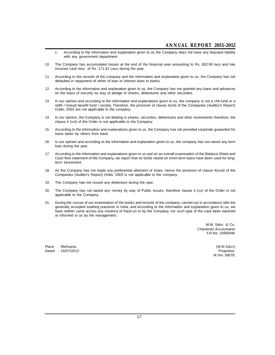- **c. According to the information and explanation given to us the Company does not have any disputed liability with any government department**
- **10 The Company has accumulated losses at the end of the financial year amounting to Rs. 832.99 lacs and has incurred cash loss of Rs. 171.43 Lacs during the year.**
- **11 According to the records of the company and the information and explanation given to us, the Company has not defaulted in repayment of either of loan or interest dues to banks.**
- **12 According to the information and explanation given to us, the Company has not granted any loans and advances on the basis of security by way of pledge of shares, debentures and other securities.**
- **13. In our opinion and according to the information and explanations given to us, the company is not a chit fund or a nidhi / mutual benefit fund / society. Therefore, the provision of clause 4(xiii) of the Companies (Auditor's Report) Order, 2003 are not applicable to the company.**
- **14. In our opinion, the Company is not dealing in shares, securities, debentures and other investments therefore; the clause 4 (xvi) of the Order is not applicable to the Company.**
- **15. According to the information and explanations given to us, the Company has not provided corporate guarantee for loans taken by others from bank.**
- **16. In our opinion and according to the information and explanation given to us, the company has not raised any term loan during the year.**
- **17. According to the information and explanations given to us and on an overall examination of the Balance Sheet and Cash flow statement of the Company, we report that no funds raised on short-term basis have been used for longterm investment.**
- **18. As the Company has not made any preferential allotment of share, hence the provision of clause 4(xviii) of the Companies (Auditor's Report) Order, 2003 is not applicable to the company.**
- **19. The Company has not issued any debenture during the year.**
- **20. The Company has not raised any money by way of Public Issues; therefore clause 4 (xx) of the Order is not applicable to the Company.**
- **21. During the course of our examination of the books and records of the company, carried out in accordance with the generally accepted auditing practices in India, and according to the information and explanation given to us, we have neither came across any instance of fraud on or by the Company, nor such type of the case been reported or informed to us by the management.**

**M.M. Salvi & Co.** *Chartered Accountants* **F.R.No. 109004W.**

**Place : Mehsana. (M.M.Salvi)**  $Data: 16/07/2012$ 

**M. No. 30678.**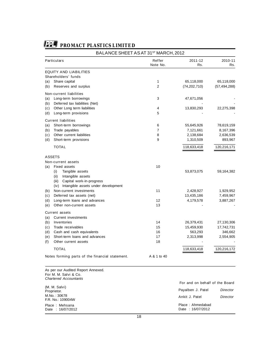| <b>Particulars</b>                              | Reffer<br>Note No. | 2011-12<br>Rs. | 2010-11<br>Rs. |
|-------------------------------------------------|--------------------|----------------|----------------|
| <b>EQUITY AND LIABILITIES</b>                   |                    |                |                |
| Shareholders' funds                             |                    |                |                |
| Share capital<br>(a)                            | 1                  | 65,118,000     | 65,118,000     |
| Reserves and surplus<br>(b)                     | 2                  | (74, 202, 710) | (57, 494, 288) |
| <b>Non-current liabilities</b>                  |                    |                |                |
| Long-term borrowings<br>(a)                     | 3                  | 47,671,056     |                |
| (b)<br>Deferred tax liabilities (Net)           |                    |                |                |
| (c)<br>Other Long term liabilities              | 4                  | 13,830,293     | 22,275,398     |
| Long-term provisions<br>(d)                     | 5                  |                |                |
| <b>Current liabilities</b>                      |                    |                |                |
| Short-term borrowings<br>(a)                    | 6                  | 55,645,926     | 78,619,159     |
| (b)<br>Trade payables                           | 7                  | 7,121,661      | 8,167,396      |
| (c)<br>Other current liabilities                | 8                  | 2,138,684      | 2,636,539      |
| (d)<br>Short-term provisions                    | 9                  | 1,310,509      | 893,967        |
| <b>TOTAL</b>                                    |                    | 118,633,418    | 120,216,171    |
| <b>ASSETS</b>                                   |                    |                |                |
| <b>Non-current assets</b>                       |                    |                |                |
| (a)<br><b>Fixed assets</b>                      | 10                 |                |                |
| Tangible assets<br>(i)                          |                    | 53,873,075     | 59,164,382     |
| (ii)<br>Intangible assets                       |                    |                |                |
| Capital work-in-progress<br>(iii)               |                    |                |                |
| (iv) Intangible assets under development        |                    |                |                |
| Non-current investments<br>(b)                  | 11                 | 2,428,927      | 1,929,952      |
| (c)<br>Deferred tax assets (net)                |                    | 13,435,186     | 7,459,967      |
| Long-term loans and advances<br>(d)             | 12                 | 4,179,578      | 3,887,267      |
| (e)<br>Other non-current assets                 | 13                 |                |                |
| <b>Current assets</b>                           |                    |                |                |
| (a)<br>Current investments                      |                    |                |                |
| (b)<br>Inventories                              | 14                 | 26,379,431     | 27,130,306     |
| (c)<br>Trade receivables                        | 15                 | 15,459,930     | 17,742,731     |
| (d)<br>Cash and cash equivalents                | 16                 | 563,293        | 346,662        |
| Short-term loans and advances<br>(e)            | 17                 | 2,313,998      | 2,554,905      |
| (f)<br>Other current assets                     | 18                 |                |                |
| <b>TOTAL</b>                                    |                    | 118,633,418    | 120,216,172    |
| Notes forming parts of the financial statement. | A & 1 to 40        |                |                |

**As per our Audited Report Annexed. For M. M. Salvi & Co.** *Chartered Accountants*

| <i>Charlot Accountains</i>         | For and on behalf of the Board       |          |
|------------------------------------|--------------------------------------|----------|
| (M. M. Salvi)<br>Proprietor.       | Payalben J. Patel                    | Director |
| M.No. : 30678<br>F.R. No.: 109004W | Ankit J. Patel                       | Director |
| Place: Mehsana<br>Date: 16/07/2012 | Place: Ahmedabad<br>Date: 16/07/2012 |          |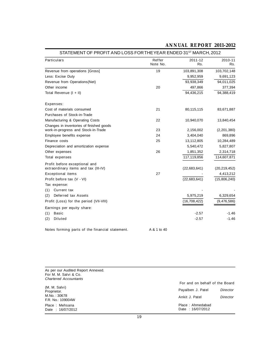| <b>Particulars</b>                                                    | Reffer<br>Note No. | 2011-12<br>Rs. | 2010-11<br>Rs. |
|-----------------------------------------------------------------------|--------------------|----------------|----------------|
| Revenue from operations [Gross]                                       | 19                 | 103,891,308    | 103,702,148    |
| Less: Excise Duty                                                     |                    | 9,952,959      | 9,691,123      |
| Revenue from Operations (Net)                                         |                    | 93,938,349     | 94,011,025     |
| Other income                                                          | 20                 | 497,866        | 377,394        |
| Total Revenue (I + II)                                                |                    | 94,436,215     | 94,388,419     |
| Expenses:                                                             |                    |                |                |
| Cost of materials consumed                                            | 21                 | 80,115,115     | 83,671,887     |
| Purchases of Stock-in-Trade                                           |                    |                |                |
| Manufacturing & Operating Costs                                       | 22                 | 10,940,070     | 13,840,454     |
| Changes in inventories of finished goods                              |                    |                |                |
| work-in-progress and Stock-in-Trade                                   | 23                 | 2,156,002      | (2,201,380)    |
| Employee benefits expense                                             | 24                 | 3,404,040      | 869,896        |
| Finance costs                                                         | 25                 | 13,112,805     | 10,284,489     |
| Depreciation and amortization expense                                 |                    | 5,540,472      | 5,827,807      |
| Other expenses                                                        | 26                 | 1,851,352      | 2,314,718      |
| <b>Total expenses</b>                                                 |                    | 117,119,856    | 114,607,871    |
| Profit before exceptional and<br>extraordinary items and tax (III-IV) |                    | (22, 683, 641) | (20, 219, 452) |
| <b>Exceptional items</b>                                              | 27                 |                | 4,413,212      |
| Profit before tax (V - VI)                                            |                    | (22, 683, 641) | (15,806,240)   |
| Tax expense:                                                          |                    |                |                |
| <b>Current tax</b><br>(1)                                             |                    |                |                |
| (2)<br><b>Deferred tax Assets</b>                                     |                    | 5,975,219      | 6,329,654      |
| Profit (Loss) for the period (VII-VIII)                               |                    | (16, 708, 422) | (9,476,586)    |
| Earnings per equity share:                                            |                    |                |                |
| <b>Basic</b><br>(1)                                                   |                    | $-2.57$        | $-1.46$        |
| <b>Diluted</b><br>(2)                                                 |                    | $-2.57$        | $-1.46$        |
| Notes forming parts of the financial statement.                       | A & 1 to 40        |                |                |

# **STATEMENT OF PROFIT AND LOSS FOR THE YEAR ENDED 31ST MARCH, 2012**

**ANNUAL REPORT 2011-2012**

**As per our Audited Report Annexed. For M. M. Salvi & Co.** *Chartered Accountants*

|                                    | For and on behalf of the Board       |          |
|------------------------------------|--------------------------------------|----------|
| (M. M. Salvi)<br>Proprietor.       | Payalben J. Patel                    | Director |
| M.No. : 30678<br>F.R. No.: 109004W | Ankit J. Patel                       | Director |
| Place: Mehsana<br>Date: 16/07/2012 | Place: Ahmedabad<br>Date: 16/07/2012 |          |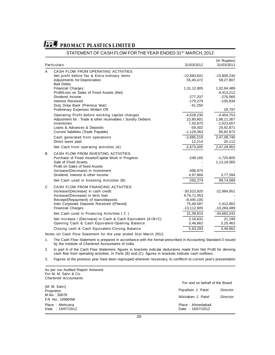

## **STATEMENT OF CASH FLOW FOR THE YEAR ENDED 31ST MARCH, 2012**

|   | <b>Particulars</b>                                                                                                                                                                                                                        | 31/03/2012                                                                   | (In Rupees)<br>31/03/2011                                             |
|---|-------------------------------------------------------------------------------------------------------------------------------------------------------------------------------------------------------------------------------------------|------------------------------------------------------------------------------|-----------------------------------------------------------------------|
| A | <b>CASH FLOW FROM OPERATING ACTIVITIES:</b><br>Net profit before Tax & Extra ordinary items<br>Adjustments for:Depreciation                                                                                                               | $-22,683,641$<br>55,40,472                                                   | $-15,806,240$<br>58,27,807                                            |
|   | <b>Bad Debts</b><br><b>Financial Charges</b><br>Profit/Loss on Sales of Fixed Assets (Net)<br>Dividend Income<br>Interest Received.<br>Duty Draw Back (Previous Year)<br>Preliminary Expenses Written Off                                 | 1,31,12,805<br>$-277,337$<br>$-179,279$<br>$-41,250$                         | 1,02,84,489<br>$-4,413,212$<br>$-276,560$<br>$-100,834$<br>29,797     |
|   | Operating Profit before working capital changes<br>Adjustment for : Trade & other receivables / Sundry Debtors<br>Inventories<br>Loans & Advances & Deposits<br>Current liabilities (Trade Payable)                                       | $-4,528,230$<br>22,80,801<br>7,50,875<br>$-59,302$<br>$-1,129,363$           | $-4,454,753$<br>1,96,11,307<br>$-1,623,657$<br>25,92,871<br>85,82,972 |
|   | Cash generated from operations<br>Direct taxes paid<br>Net Cash from operating activities (A)                                                                                                                                             | $-2,685,219$<br>12,214<br>$-2,673,005$                                       | 2,47,08,740<br>20,112<br>2,47,28,852                                  |
| B | <b>CASH FLOW FROM INVESTING ACTIVITIES:</b><br>Purchase of Fixed Assets/Capital Work in Progress<br>Sale of Fixed Assets.<br>Profit on Sales of fixed Assets<br>Increase/(Decrease) in Investment<br>Dividend, Interest & other income    | $-249,165$<br>$-498,975$<br>4,97,866                                         | $-1,720,805$<br>1,13,18,000<br>3,77,394                               |
|   | Net Cash used in Investing Activities (B)                                                                                                                                                                                                 | $-250,274$                                                                   | 99,74,589                                                             |
| C | <b>CASH FLOW FROM FINANCING ACTIVITIES:</b><br>Increase/(Decrease) in cash credit<br>Increase/(Decrease) in term loan<br>Receipt/(Repayment) of loans/deposits<br>Inter Corporate Deposits Received /(Placed)<br><b>Financial Charges</b> | $-30,522,820$<br>4,76,71,053<br>$-8,445,105$<br>75,49,587<br>$-13, 112, 805$ | $-22,984,951$<br>$-1,412,802$<br>$-10,284,489$                        |
|   | Net Cash used in Financing Activities (C)                                                                                                                                                                                                 | 31,39,910                                                                    | $-34,682,242$                                                         |
|   | Net increase / (Decrease) in Cash & Cash Equivalent (A+B+C)<br>Opening Cash & Cash Equivalent-Opening Balance                                                                                                                             | 2,16,631<br>3,46,662                                                         | 21,199<br>3,25,463                                                    |
|   | Closing cash & Cash Equivalent-Closing Balance                                                                                                                                                                                            | 5,63,293                                                                     | 3,46,662                                                              |
|   | Notes on Cash Flow Statement for the year ended 31st March 2012;                                                                                                                                                                          |                                                                              |                                                                       |

**1. The Cash Flow Statement is prepared in accordance with the format prescribed in Accounting Standard-3 issued by the Institute of Chartered Accountants of India.**

**2. In part A of the Cash Flow Statement, figures in brackets indicate deductions made from Net Profit for deriving cash flow from operating activities. In Parts (B) and (C), figures in brackets indicate cash outflows.**

**3. Figures of the previous year have been regrouped wherever necessary, to confform to current year's presentation**

**As per our Audited Report Annexed. For M. M. Salvi & Co.** *Chartered Accountants*

|                                                                    | For and on behalf of the Board          |                      |  |  |
|--------------------------------------------------------------------|-----------------------------------------|----------------------|--|--|
| (M. M. Salvi)<br>Proprietor.<br>M.No. : 30678<br>F.R. No.: 109004W | Payalben J. Patel<br>Nikitaben J. Patel | Director<br>Director |  |  |
| Place: Mehsana<br>Date: 16/07/2012                                 | Place: Ahmedabad<br>Date: 16/07/2012    |                      |  |  |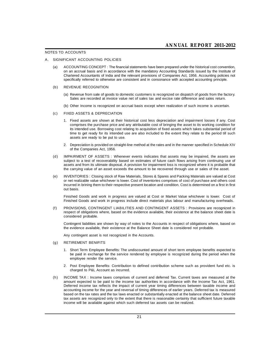#### **NOTES TO ACCOUNTS**

#### **A. SIGNIFICANT ACCOUNTING POLICIES**

**(a) ACCOUNTING CONCEPT : The financial statements have been prepared under the historical cost convention, on an accrual basis and in accordance with the mandatory Accounting Standards issued by the Institute of Chartered Accountants of India and the relevant provisions of Companies Act, 1956. Accounting policies not specifically referred to otherwise are consistent and in consonance with accepted accounting principle.**

#### **(b) REVENUE RECOGNITION**

- **(a) Revenue from sale of goods to domestic customers is recognized on dispatch of goods from the factory. Sales are recorded at invoice value net of sales tax and excise rate difference and sales return.**
- **(b) Other Income is recognized on accrual basis except when realization of such income is uncertain.**

#### **(c) FIXED ASSETS & DEPRECIATION**

- **1. Fixed assets are shown at their historical cost less depreciation and impairment losses if any. Cost comprises the purchase price and any attributable cost of bringing the asset to its working condition for its intended use. Borrowing cost relating to acquisition of fixed assets which takes substantial period of time to get ready for its intended use are also included to the extent they relate to the period till such assets are ready to be put to use.**
- **2. Depreciation is provided on straight-line method at the rates and in the manner specified in Schedule XIV of the Companies Act, 1956.**
- **(d) IMPAIRMENT OF ASSETS : Whenever events indicates that assets may be impaired, the assets are subject to a test of recoverability based on estimates of future cash flows arising from continuing use of assets and from its ultimate disposal. A provision for impairment loss is recognized where it is probable that the carrying value of an asset exceeds the amount to be recovered through use or sales of the asset.**
- **(e) INVENTORIES : Closing stock of Raw Materials, Stores & Spares and Packing Materials are valued at Cost or net realizable value whichever is lower. Cost of inventories comprises of cost of purchase and others cost incurred in brining them to their respective present location and condition. Cost is determined on a first in first out basis.**

**Finished Goods and work in progress are valued at Cost or Market Value whichever is lower. Cost of Finished Goods and work in progress include direct materials plus labour and manufacturing overheads.**

**(f) PROVISIONS, CONTINGENT LIABILITIES AND CONTINGENT ASSETS : Provisions are recognized in respect of obligations where, based on the evidence available, their existence at the balance sheet date is considered probable.**

**Contingent liabilities are shown by way of notes to the Accounts in respect of obligations where, based on the evidence available, their existence at the Balance Sheet date is considered not probable.**

**Any contingent asset is not recognized in the Accounts.**

#### **(g) RETIREMENT BENIFITS**

- **1. Short Term Employee Benefits: The undiscounted amount of short term employee benefits expected to be paid in exchange for the service rendered by employee is recognized during the period when the employee render the service.**
- **2. Post Employee Benefits: Contribution to defined contribution scheme such as provident fund etc. is charged to P&L Account as incurred.**
- **(h) INCOME TAX : Income taxes comprises of current and deferred Tax. Current taxes are measured at the amount expected to be paid to the income tax authorities in accordance with the Income Tax Act, 1961. Deferred income tax reflects the impact of current year timing differences between taxable income and accounting income for the year and reversal of timing differences of earlier years. Deferred tax is measured based on the tax rates and the tax laws enacted or substantially enacted at the balance sheet date. Deferred tax assets are recognized only to the extent that there is reasonable certainty that sufficient future taxable income will be available against which such deferred tax assets can be realized.**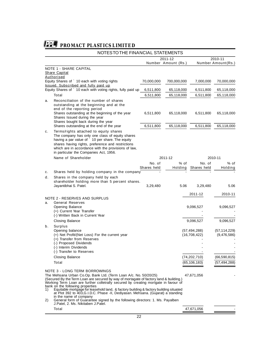# **NOTES TO THE FINANCIAL STATEMENTS**

| <b>NOTE 1 - SHARE CAPITAL</b><br><b>Share Capital</b><br>Authorised<br>Equity Shares of ` 10 each with voting rights<br>70,000,000<br>700,000,000<br>7,000,000<br>70,000,000<br>Issued, Subscribed and fully paid up<br>Equity Shares of ` 10 each with voting rights, fully paid up<br>6,511,800<br>65,118,000<br>6,511,800<br>65,118,000<br><b>Total</b><br>6,511,800<br>65,118,000<br>6,511,800<br>Reconciliation of the number of shares<br>a.<br>outstanding at the beginning and at the<br>end of the reporting period<br>Shares outstanding at the beginning of the year<br>6,511,800<br>65,118,000<br>6,511,800<br>65,118,000<br>Shares Issued during the year<br>Shares bought back during the year<br>Shares outstanding at the end of the year<br>6,511,800<br>65,118,000<br>6,511,800<br>65,118,000<br>Terms/rights attached to equity shares<br>с.<br>The company has only one class of equity shares<br>having a par value of ` 10 per share. The equity<br>shares having rights, preference and restrictions<br>which are in accordance with the provisions of law,<br>in particular the Companies Act, 1956.<br>Name of Shareholder<br>2011-12<br>2010-11<br>% of<br>No. of<br>% of<br>No. of<br>Shares held<br><b>Holding</b><br>Shares held<br>Holding<br>Shares held by holding company in the company<br>c.<br>Shares in the company held by each<br>d.<br>shareholder holding more than 5 percent shares.<br>Jayantibhai S. Patel.<br>5.06<br>5.06<br>3,29,480<br>3,29,480<br>2011-12<br>2010-11<br><b>NOTE 2 - RESERVES AND SURPLUS</b><br><b>General Reserves</b><br>a.<br><b>Opening Balance</b><br>9,096,527<br>9,096,527<br>(+) Current Year Transfer<br>(-) Written Back in Current Year<br>9,096,527<br>Closing Balance<br>9,096,527<br><b>Surplus</b><br>b.<br>Opening balance<br>(57, 494, 288)<br>(57, 114, 229)<br>(+) Net Profit/(Net Loss) For the current year<br>(16, 708, 422)<br>(9,476,586)<br>(+) Transfer from Reserves<br>(-) Proposed Dividends<br>(-) Interim Dividends<br>(-) Transfer to Reserves<br><b>Closing Balance</b><br>(74,202,710)<br>(66, 590, 815)<br>(65, 106, 183)<br>(57, 494, 288)<br>Total<br><b>NOTE 3 - LONG TERM BORROWINGS</b><br>The Mehsana Urban Co.Op. Bank Ltd. (Term Loan A/c. No. 50/20/25)<br>47,671,056<br>(Secured By the Term Loan are secured by way of mortagate of factory land & building.)<br>Working Term Loan are further colletrally secured by creating mortgate in favour of<br>bank on the following properties<br>Equitable mortgage for leasehold land, & factory building & factory building situated<br>1)<br>at Plot 392 to 403, G.I.D.C. Phase -II, Dediyasan. Mehsana. (Gujarat) a standing<br>in the name of company<br>General form of Guarantee signed by the following directors: 1. Ms. Payalben<br>2)<br>J.Patel, 2. Ms. Nikitaben J.Patel.<br>Total<br>47,671,056 |  | 2011-12<br>Number Amount (Rs.) |  | 2010-11<br><b>Number Amount(Rs.)</b> |            |
|-------------------------------------------------------------------------------------------------------------------------------------------------------------------------------------------------------------------------------------------------------------------------------------------------------------------------------------------------------------------------------------------------------------------------------------------------------------------------------------------------------------------------------------------------------------------------------------------------------------------------------------------------------------------------------------------------------------------------------------------------------------------------------------------------------------------------------------------------------------------------------------------------------------------------------------------------------------------------------------------------------------------------------------------------------------------------------------------------------------------------------------------------------------------------------------------------------------------------------------------------------------------------------------------------------------------------------------------------------------------------------------------------------------------------------------------------------------------------------------------------------------------------------------------------------------------------------------------------------------------------------------------------------------------------------------------------------------------------------------------------------------------------------------------------------------------------------------------------------------------------------------------------------------------------------------------------------------------------------------------------------------------------------------------------------------------------------------------------------------------------------------------------------------------------------------------------------------------------------------------------------------------------------------------------------------------------------------------------------------------------------------------------------------------------------------------------------------------------------------------------------------------------------------------------------------------------------------------------------------------------------------------------------------------------------------------------------------------------------------------------------------------------------------------------------------------------------------------------------------------------|--|--------------------------------|--|--------------------------------------|------------|
|                                                                                                                                                                                                                                                                                                                                                                                                                                                                                                                                                                                                                                                                                                                                                                                                                                                                                                                                                                                                                                                                                                                                                                                                                                                                                                                                                                                                                                                                                                                                                                                                                                                                                                                                                                                                                                                                                                                                                                                                                                                                                                                                                                                                                                                                                                                                                                                                                                                                                                                                                                                                                                                                                                                                                                                                                                                                         |  |                                |  |                                      |            |
|                                                                                                                                                                                                                                                                                                                                                                                                                                                                                                                                                                                                                                                                                                                                                                                                                                                                                                                                                                                                                                                                                                                                                                                                                                                                                                                                                                                                                                                                                                                                                                                                                                                                                                                                                                                                                                                                                                                                                                                                                                                                                                                                                                                                                                                                                                                                                                                                                                                                                                                                                                                                                                                                                                                                                                                                                                                                         |  |                                |  |                                      |            |
|                                                                                                                                                                                                                                                                                                                                                                                                                                                                                                                                                                                                                                                                                                                                                                                                                                                                                                                                                                                                                                                                                                                                                                                                                                                                                                                                                                                                                                                                                                                                                                                                                                                                                                                                                                                                                                                                                                                                                                                                                                                                                                                                                                                                                                                                                                                                                                                                                                                                                                                                                                                                                                                                                                                                                                                                                                                                         |  |                                |  |                                      |            |
|                                                                                                                                                                                                                                                                                                                                                                                                                                                                                                                                                                                                                                                                                                                                                                                                                                                                                                                                                                                                                                                                                                                                                                                                                                                                                                                                                                                                                                                                                                                                                                                                                                                                                                                                                                                                                                                                                                                                                                                                                                                                                                                                                                                                                                                                                                                                                                                                                                                                                                                                                                                                                                                                                                                                                                                                                                                                         |  |                                |  |                                      | 65,118,000 |
|                                                                                                                                                                                                                                                                                                                                                                                                                                                                                                                                                                                                                                                                                                                                                                                                                                                                                                                                                                                                                                                                                                                                                                                                                                                                                                                                                                                                                                                                                                                                                                                                                                                                                                                                                                                                                                                                                                                                                                                                                                                                                                                                                                                                                                                                                                                                                                                                                                                                                                                                                                                                                                                                                                                                                                                                                                                                         |  |                                |  |                                      |            |
|                                                                                                                                                                                                                                                                                                                                                                                                                                                                                                                                                                                                                                                                                                                                                                                                                                                                                                                                                                                                                                                                                                                                                                                                                                                                                                                                                                                                                                                                                                                                                                                                                                                                                                                                                                                                                                                                                                                                                                                                                                                                                                                                                                                                                                                                                                                                                                                                                                                                                                                                                                                                                                                                                                                                                                                                                                                                         |  |                                |  |                                      |            |
|                                                                                                                                                                                                                                                                                                                                                                                                                                                                                                                                                                                                                                                                                                                                                                                                                                                                                                                                                                                                                                                                                                                                                                                                                                                                                                                                                                                                                                                                                                                                                                                                                                                                                                                                                                                                                                                                                                                                                                                                                                                                                                                                                                                                                                                                                                                                                                                                                                                                                                                                                                                                                                                                                                                                                                                                                                                                         |  |                                |  |                                      |            |
|                                                                                                                                                                                                                                                                                                                                                                                                                                                                                                                                                                                                                                                                                                                                                                                                                                                                                                                                                                                                                                                                                                                                                                                                                                                                                                                                                                                                                                                                                                                                                                                                                                                                                                                                                                                                                                                                                                                                                                                                                                                                                                                                                                                                                                                                                                                                                                                                                                                                                                                                                                                                                                                                                                                                                                                                                                                                         |  |                                |  |                                      |            |
|                                                                                                                                                                                                                                                                                                                                                                                                                                                                                                                                                                                                                                                                                                                                                                                                                                                                                                                                                                                                                                                                                                                                                                                                                                                                                                                                                                                                                                                                                                                                                                                                                                                                                                                                                                                                                                                                                                                                                                                                                                                                                                                                                                                                                                                                                                                                                                                                                                                                                                                                                                                                                                                                                                                                                                                                                                                                         |  |                                |  |                                      |            |
|                                                                                                                                                                                                                                                                                                                                                                                                                                                                                                                                                                                                                                                                                                                                                                                                                                                                                                                                                                                                                                                                                                                                                                                                                                                                                                                                                                                                                                                                                                                                                                                                                                                                                                                                                                                                                                                                                                                                                                                                                                                                                                                                                                                                                                                                                                                                                                                                                                                                                                                                                                                                                                                                                                                                                                                                                                                                         |  |                                |  |                                      |            |
|                                                                                                                                                                                                                                                                                                                                                                                                                                                                                                                                                                                                                                                                                                                                                                                                                                                                                                                                                                                                                                                                                                                                                                                                                                                                                                                                                                                                                                                                                                                                                                                                                                                                                                                                                                                                                                                                                                                                                                                                                                                                                                                                                                                                                                                                                                                                                                                                                                                                                                                                                                                                                                                                                                                                                                                                                                                                         |  |                                |  |                                      |            |
|                                                                                                                                                                                                                                                                                                                                                                                                                                                                                                                                                                                                                                                                                                                                                                                                                                                                                                                                                                                                                                                                                                                                                                                                                                                                                                                                                                                                                                                                                                                                                                                                                                                                                                                                                                                                                                                                                                                                                                                                                                                                                                                                                                                                                                                                                                                                                                                                                                                                                                                                                                                                                                                                                                                                                                                                                                                                         |  |                                |  |                                      |            |
|                                                                                                                                                                                                                                                                                                                                                                                                                                                                                                                                                                                                                                                                                                                                                                                                                                                                                                                                                                                                                                                                                                                                                                                                                                                                                                                                                                                                                                                                                                                                                                                                                                                                                                                                                                                                                                                                                                                                                                                                                                                                                                                                                                                                                                                                                                                                                                                                                                                                                                                                                                                                                                                                                                                                                                                                                                                                         |  |                                |  |                                      |            |
|                                                                                                                                                                                                                                                                                                                                                                                                                                                                                                                                                                                                                                                                                                                                                                                                                                                                                                                                                                                                                                                                                                                                                                                                                                                                                                                                                                                                                                                                                                                                                                                                                                                                                                                                                                                                                                                                                                                                                                                                                                                                                                                                                                                                                                                                                                                                                                                                                                                                                                                                                                                                                                                                                                                                                                                                                                                                         |  |                                |  |                                      |            |
|                                                                                                                                                                                                                                                                                                                                                                                                                                                                                                                                                                                                                                                                                                                                                                                                                                                                                                                                                                                                                                                                                                                                                                                                                                                                                                                                                                                                                                                                                                                                                                                                                                                                                                                                                                                                                                                                                                                                                                                                                                                                                                                                                                                                                                                                                                                                                                                                                                                                                                                                                                                                                                                                                                                                                                                                                                                                         |  |                                |  |                                      |            |
|                                                                                                                                                                                                                                                                                                                                                                                                                                                                                                                                                                                                                                                                                                                                                                                                                                                                                                                                                                                                                                                                                                                                                                                                                                                                                                                                                                                                                                                                                                                                                                                                                                                                                                                                                                                                                                                                                                                                                                                                                                                                                                                                                                                                                                                                                                                                                                                                                                                                                                                                                                                                                                                                                                                                                                                                                                                                         |  |                                |  |                                      |            |
|                                                                                                                                                                                                                                                                                                                                                                                                                                                                                                                                                                                                                                                                                                                                                                                                                                                                                                                                                                                                                                                                                                                                                                                                                                                                                                                                                                                                                                                                                                                                                                                                                                                                                                                                                                                                                                                                                                                                                                                                                                                                                                                                                                                                                                                                                                                                                                                                                                                                                                                                                                                                                                                                                                                                                                                                                                                                         |  |                                |  |                                      |            |
|                                                                                                                                                                                                                                                                                                                                                                                                                                                                                                                                                                                                                                                                                                                                                                                                                                                                                                                                                                                                                                                                                                                                                                                                                                                                                                                                                                                                                                                                                                                                                                                                                                                                                                                                                                                                                                                                                                                                                                                                                                                                                                                                                                                                                                                                                                                                                                                                                                                                                                                                                                                                                                                                                                                                                                                                                                                                         |  |                                |  |                                      |            |
|                                                                                                                                                                                                                                                                                                                                                                                                                                                                                                                                                                                                                                                                                                                                                                                                                                                                                                                                                                                                                                                                                                                                                                                                                                                                                                                                                                                                                                                                                                                                                                                                                                                                                                                                                                                                                                                                                                                                                                                                                                                                                                                                                                                                                                                                                                                                                                                                                                                                                                                                                                                                                                                                                                                                                                                                                                                                         |  |                                |  |                                      |            |
|                                                                                                                                                                                                                                                                                                                                                                                                                                                                                                                                                                                                                                                                                                                                                                                                                                                                                                                                                                                                                                                                                                                                                                                                                                                                                                                                                                                                                                                                                                                                                                                                                                                                                                                                                                                                                                                                                                                                                                                                                                                                                                                                                                                                                                                                                                                                                                                                                                                                                                                                                                                                                                                                                                                                                                                                                                                                         |  |                                |  |                                      |            |
|                                                                                                                                                                                                                                                                                                                                                                                                                                                                                                                                                                                                                                                                                                                                                                                                                                                                                                                                                                                                                                                                                                                                                                                                                                                                                                                                                                                                                                                                                                                                                                                                                                                                                                                                                                                                                                                                                                                                                                                                                                                                                                                                                                                                                                                                                                                                                                                                                                                                                                                                                                                                                                                                                                                                                                                                                                                                         |  |                                |  |                                      |            |
|                                                                                                                                                                                                                                                                                                                                                                                                                                                                                                                                                                                                                                                                                                                                                                                                                                                                                                                                                                                                                                                                                                                                                                                                                                                                                                                                                                                                                                                                                                                                                                                                                                                                                                                                                                                                                                                                                                                                                                                                                                                                                                                                                                                                                                                                                                                                                                                                                                                                                                                                                                                                                                                                                                                                                                                                                                                                         |  |                                |  |                                      |            |
|                                                                                                                                                                                                                                                                                                                                                                                                                                                                                                                                                                                                                                                                                                                                                                                                                                                                                                                                                                                                                                                                                                                                                                                                                                                                                                                                                                                                                                                                                                                                                                                                                                                                                                                                                                                                                                                                                                                                                                                                                                                                                                                                                                                                                                                                                                                                                                                                                                                                                                                                                                                                                                                                                                                                                                                                                                                                         |  |                                |  |                                      |            |
|                                                                                                                                                                                                                                                                                                                                                                                                                                                                                                                                                                                                                                                                                                                                                                                                                                                                                                                                                                                                                                                                                                                                                                                                                                                                                                                                                                                                                                                                                                                                                                                                                                                                                                                                                                                                                                                                                                                                                                                                                                                                                                                                                                                                                                                                                                                                                                                                                                                                                                                                                                                                                                                                                                                                                                                                                                                                         |  |                                |  |                                      |            |
|                                                                                                                                                                                                                                                                                                                                                                                                                                                                                                                                                                                                                                                                                                                                                                                                                                                                                                                                                                                                                                                                                                                                                                                                                                                                                                                                                                                                                                                                                                                                                                                                                                                                                                                                                                                                                                                                                                                                                                                                                                                                                                                                                                                                                                                                                                                                                                                                                                                                                                                                                                                                                                                                                                                                                                                                                                                                         |  |                                |  |                                      |            |
|                                                                                                                                                                                                                                                                                                                                                                                                                                                                                                                                                                                                                                                                                                                                                                                                                                                                                                                                                                                                                                                                                                                                                                                                                                                                                                                                                                                                                                                                                                                                                                                                                                                                                                                                                                                                                                                                                                                                                                                                                                                                                                                                                                                                                                                                                                                                                                                                                                                                                                                                                                                                                                                                                                                                                                                                                                                                         |  |                                |  |                                      |            |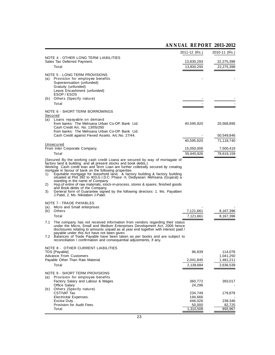# **ANNUAL REPORT 2011-2012**

|                                     |                                                                                                                                                                                                                                                                                                                                                                                                                                                                                                                                                                                                                                                                                                                                                                                                                                                                                                                                                                                                                                                                                             | 2011-12 (Rs.)          | 2010-11 (Rs.)          |
|-------------------------------------|---------------------------------------------------------------------------------------------------------------------------------------------------------------------------------------------------------------------------------------------------------------------------------------------------------------------------------------------------------------------------------------------------------------------------------------------------------------------------------------------------------------------------------------------------------------------------------------------------------------------------------------------------------------------------------------------------------------------------------------------------------------------------------------------------------------------------------------------------------------------------------------------------------------------------------------------------------------------------------------------------------------------------------------------------------------------------------------------|------------------------|------------------------|
|                                     | <b>NOTE 4 - OTHER LONG TERM LIABILITIES</b>                                                                                                                                                                                                                                                                                                                                                                                                                                                                                                                                                                                                                                                                                                                                                                                                                                                                                                                                                                                                                                                 |                        |                        |
|                                     | Sales Tax Deferred Payment.                                                                                                                                                                                                                                                                                                                                                                                                                                                                                                                                                                                                                                                                                                                                                                                                                                                                                                                                                                                                                                                                 | 13,830,293             | 22,275,398             |
|                                     | Total                                                                                                                                                                                                                                                                                                                                                                                                                                                                                                                                                                                                                                                                                                                                                                                                                                                                                                                                                                                                                                                                                       | 13,830,293             | 22,275,398             |
|                                     | <b>NOTE 5 - LONG TERM PROVISIONS</b>                                                                                                                                                                                                                                                                                                                                                                                                                                                                                                                                                                                                                                                                                                                                                                                                                                                                                                                                                                                                                                                        |                        |                        |
| (a)                                 | Provision for employee benefits                                                                                                                                                                                                                                                                                                                                                                                                                                                                                                                                                                                                                                                                                                                                                                                                                                                                                                                                                                                                                                                             |                        |                        |
|                                     | Superannuation (unfunded)<br>Gratuity (unfunded)                                                                                                                                                                                                                                                                                                                                                                                                                                                                                                                                                                                                                                                                                                                                                                                                                                                                                                                                                                                                                                            |                        |                        |
|                                     | Leave Encashment (unfunded)                                                                                                                                                                                                                                                                                                                                                                                                                                                                                                                                                                                                                                                                                                                                                                                                                                                                                                                                                                                                                                                                 |                        |                        |
|                                     | ESOP / ESOS                                                                                                                                                                                                                                                                                                                                                                                                                                                                                                                                                                                                                                                                                                                                                                                                                                                                                                                                                                                                                                                                                 |                        |                        |
| (b)                                 | Others (Specify nature)                                                                                                                                                                                                                                                                                                                                                                                                                                                                                                                                                                                                                                                                                                                                                                                                                                                                                                                                                                                                                                                                     |                        |                        |
|                                     | <b>Total</b>                                                                                                                                                                                                                                                                                                                                                                                                                                                                                                                                                                                                                                                                                                                                                                                                                                                                                                                                                                                                                                                                                |                        |                        |
|                                     | <b>NOTE 6 - SHORT TERM BORROWINGS</b>                                                                                                                                                                                                                                                                                                                                                                                                                                                                                                                                                                                                                                                                                                                                                                                                                                                                                                                                                                                                                                                       |                        |                        |
|                                     | <b>Secured</b>                                                                                                                                                                                                                                                                                                                                                                                                                                                                                                                                                                                                                                                                                                                                                                                                                                                                                                                                                                                                                                                                              |                        |                        |
|                                     | (a) Loans repayable on demand<br>from banks: The Mehsana Urban Co-OP. Bank Ltd.                                                                                                                                                                                                                                                                                                                                                                                                                                                                                                                                                                                                                                                                                                                                                                                                                                                                                                                                                                                                             | 40,595,920             | 20,568,895             |
|                                     | Cash Credit A/c. No. 13/05/260                                                                                                                                                                                                                                                                                                                                                                                                                                                                                                                                                                                                                                                                                                                                                                                                                                                                                                                                                                                                                                                              |                        |                        |
|                                     | from banks: The Mehsana Urban Co-OP. Bank Ltd.<br>Cash Credit against Fiexed Assets. A/c.No. 27/44.                                                                                                                                                                                                                                                                                                                                                                                                                                                                                                                                                                                                                                                                                                                                                                                                                                                                                                                                                                                         |                        | 50,549,846             |
|                                     |                                                                                                                                                                                                                                                                                                                                                                                                                                                                                                                                                                                                                                                                                                                                                                                                                                                                                                                                                                                                                                                                                             | 40,595,920             | 71,118,740             |
|                                     | <b>Unsecured</b>                                                                                                                                                                                                                                                                                                                                                                                                                                                                                                                                                                                                                                                                                                                                                                                                                                                                                                                                                                                                                                                                            |                        |                        |
|                                     | From Inter Corporate Company.                                                                                                                                                                                                                                                                                                                                                                                                                                                                                                                                                                                                                                                                                                                                                                                                                                                                                                                                                                                                                                                               | 15,050,006             | 7,500,419              |
|                                     | Total                                                                                                                                                                                                                                                                                                                                                                                                                                                                                                                                                                                                                                                                                                                                                                                                                                                                                                                                                                                                                                                                                       | 55,645,926             | 78,619,159             |
| 1)<br>2)<br>3)<br>(a)<br>(b)<br>7.1 | (Secured By the working cash credit Loana are secured by way of mortagate of<br>factory land & building and all present stocks and book debts.)<br>Working Cash credit loan and Term Loan are further colletrally secured by creating<br>mortgate in favour of bank on the following properties<br>Equitable mortgage for leasehold land, & factory building & factory building<br>situated at Plot 392 to 403, G.I.D.C. Phase -II, Dediyasan. Mehsana. (Gujarat) a<br>standing in the name of Company<br>Hyp.of entire of raw materials, stock-in-process, stores & spares, finished goods<br>and Book-debts of the Company.<br>General form of Guarantee signed by the following directors: 1. Ms. Payalben<br>J.Patel, 2. Ms. Nikitaben J.Patel.<br><b>NOTE 7 - TRADE PAYABLES</b><br>Micro and Small enterprises<br>Others<br>Total<br>The company has not received information from vendors regarding their status<br>under the Micro, Small and Medium Enterprises Development Act, 2006 hence<br>disclosures relating to amounts unpaid as at year end together with interest paid / | 7,121,661<br>7,121,661 | 8,167,396<br>8,167,396 |
|                                     | payable under this Act have not been given.<br>7.2 Balances of Trade Payable have been taken as per books and are subject to<br>reconciliation / confirmation and consequential adjustments, if any.<br><b>NOTE 8 - OTHER CURRENT LIABILITIES</b><br>TDS [Payable]                                                                                                                                                                                                                                                                                                                                                                                                                                                                                                                                                                                                                                                                                                                                                                                                                          | 96,839                 | 114,078                |
|                                     | <b>Advance From Customers</b>                                                                                                                                                                                                                                                                                                                                                                                                                                                                                                                                                                                                                                                                                                                                                                                                                                                                                                                                                                                                                                                               |                        | 1,041,250              |
|                                     | Payable Other Than Raw Material                                                                                                                                                                                                                                                                                                                                                                                                                                                                                                                                                                                                                                                                                                                                                                                                                                                                                                                                                                                                                                                             | 2,041,845              | 1,481,211              |
|                                     | <b>Total</b>                                                                                                                                                                                                                                                                                                                                                                                                                                                                                                                                                                                                                                                                                                                                                                                                                                                                                                                                                                                                                                                                                | 2,138,684              | 2,636,539              |
| (a)                                 | <b>NOTE 9 - SHORT TERM PROVISIONS</b><br>Provision for employee benefits<br>Factory Salary and Labour & Wages<br>Office Salary                                                                                                                                                                                                                                                                                                                                                                                                                                                                                                                                                                                                                                                                                                                                                                                                                                                                                                                                                              | 360,772<br>24,296      | 393,017                |
| (b)                                 | Others (Specify nature)                                                                                                                                                                                                                                                                                                                                                                                                                                                                                                                                                                                                                                                                                                                                                                                                                                                                                                                                                                                                                                                                     |                        |                        |
|                                     | CST/VAT Tax<br>Electricital Expenses.                                                                                                                                                                                                                                                                                                                                                                                                                                                                                                                                                                                                                                                                                                                                                                                                                                                                                                                                                                                                                                                       | 234,749                | 179,879                |
|                                     | Excise Duty.                                                                                                                                                                                                                                                                                                                                                                                                                                                                                                                                                                                                                                                                                                                                                                                                                                                                                                                                                                                                                                                                                | 194,666<br>446,026     | 238,346                |
|                                     | Provision for Audit Fees.                                                                                                                                                                                                                                                                                                                                                                                                                                                                                                                                                                                                                                                                                                                                                                                                                                                                                                                                                                                                                                                                   | 50,000                 | 82,725                 |
|                                     | Total                                                                                                                                                                                                                                                                                                                                                                                                                                                                                                                                                                                                                                                                                                                                                                                                                                                                                                                                                                                                                                                                                       | 1,310,509              | 893,967                |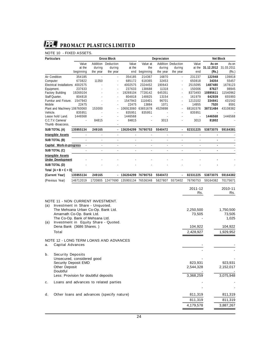# **NOTE 10 - FIXED ASSETS.**

| <b>Particulars</b>              |           |          | <b>Gross Block</b>       |                      |           | Depreciaton |                           |          | <b>Net Block</b> |            |
|---------------------------------|-----------|----------|--------------------------|----------------------|-----------|-------------|---------------------------|----------|------------------|------------|
|                                 | Value     | Addition | Deduction                | Value                | Value at  |             | <b>Addition Deduction</b> | Value    | As on            | As on      |
|                                 | at the    | during   | during                   | at the               | the       | during      | during                    | at the   | 31.12.2012       | 31.03.2011 |
|                                 | beginning | the year | the year                 | end                  | beginning | the year    | the year                  | end      | (Rs.)            | (Rs.)      |
| Air Condition                   | 354185    | ÷.       | $\overline{\phantom{a}}$ | 354185               | 214367    | 16870       | $\sim$                    | 231237   | 122948           | 139818     |
| Computer                        | 673822    | 11350    | ٠                        | 685172               | 618365    | 32453       |                           | 650818   | 34354            | 55457      |
| <b>Electrical Installations</b> | 4002575   |          |                          | 4002575              | 2324452   | 190643      |                           | 2515095  | 1487480          | 1678123    |
| Equipment.                      | 237633    |          |                          | 237633               | 138688    | 11318       |                           | 150006   | 87627            | 98945      |
| <b>Factory Building</b>         | 19269104  |          | ٠                        | 19269104             | 7728142   | 645351      | ٠                         | 8373493  | 10895611         | 11540962   |
| Staff Ouarter.                  | 804818    |          |                          | 804818               | 148825    | 13154       |                           | 161979   | 642839           | 655993     |
| Furnitur and Fixture.           | 1547943   |          |                          | 1547943              | 1116401   | 96701       |                           | 1213102  | 334841           | 431542     |
| Mobile                          | 22475     |          |                          | 22475                | 13884     | 1071        |                           | 14955    | 7520             | 8591       |
| Plant and Machnery 106760060    |           | 153000   |                          | 106913060            | 63651678  | 4529898     |                           | 68181576 | 38731484         | 43108382   |
| Vehicle.                        | 835951    |          |                          | 835951               | 835951    |             |                           | 835951   |                  |            |
| Lease hold Land.                | 1446568   |          |                          | 1446568              |           |             |                           |          | 1446568          | 1446568    |
| C.C.T.V. Cameral                |           | 84815    |                          | 84815                |           | 3013        |                           | 3013     | 81802            |            |
| Thumb -Bioaccess.               |           |          |                          |                      |           |             |                           |          |                  |            |
| SUB TOTAL (A)                   | 135955134 | 249165   |                          | - 136204299 76790753 |           | 5540472     |                           | 82331225 | 53873075         | 59164381   |
| <b>Intangible Assets</b>        |           | ä,       | $\overline{\phantom{a}}$ |                      |           |             |                           |          | $\blacksquare$   |            |
| SUB TOTAL (B)                   |           | ÷.       |                          | ÷.                   |           |             |                           |          |                  |            |
| Capital Work-in-progress        |           |          |                          |                      |           |             |                           |          | ٠                |            |
| SUB TOTAL (C)                   |           |          |                          |                      |           |             |                           |          |                  |            |
| <b>Intangible Assets</b>        |           |          |                          |                      |           |             |                           |          |                  |            |
| <b>Under Development</b>        |           |          |                          |                      |           |             |                           |          |                  |            |
| SUB TOTAL (D)                   |           |          |                          |                      |           |             |                           |          |                  |            |
| Total $[A + B + C + D]$         |           |          |                          |                      |           |             |                           |          |                  |            |
| (Current Year)                  | 135955134 | 249165   |                          | 136204299            | 76790753  | 5540472     |                           | 82331225 | 53873075         | 59164382   |
| (Previous Year)                 | 146712019 |          | 1720805 12477690         | 135955134 76536348   |           | 5827807     | 5573402                   | 76790753 | 59164382         | 70175671   |

|     |                                               | 2011-12<br>Rs. | 2010-11<br>Rs. |
|-----|-----------------------------------------------|----------------|----------------|
|     | <b>NOTE 11 - NON CURRENT INVESTMENT.</b>      |                |                |
| (a) | Investment in Share - Unquoted.               |                |                |
|     | The Mehsana Urban Co-Op. Bank Ltd.            | 2,250,500      | 1,750,500      |
|     | Amarnath Co-Op. Bank Ltd.                     | 73,505         | 73,505         |
|     | The Co-Op. Bank of Mehsana Ltd.               |                | 1.025          |
| (a) | Investment in Equity Share - Quoted.          |                |                |
|     | Dena Bank (3686 Shares.)                      | 104,922        | 104,922        |
|     | Total                                         | 2,428,927      | 1,929,952      |
|     | <b>NOTE 12 - LONG TERM LOANS AND ADVANCES</b> |                |                |
| a.  | <b>Capital Advances</b>                       |                |                |
| b.  | <b>Security Deposits</b>                      |                |                |
|     | Unsecured, considered good                    |                |                |
|     | Security Deposit EMD                          | 823.931        | 923.931        |
|     | <b>Other Deposit</b>                          | 2,544,328      | 2,152,017      |
|     | Doubtful                                      |                |                |
|     | Less: Provision for doubtful deposits         | 3,368,259      | 3,075,948      |
| c.  | Loans and advances to related parties         |                |                |
|     |                                               |                |                |
| d.  | Other loans and advances (specify nature)     | 811,319        | 811,319        |
|     |                                               | 811,319        | 811,319        |
|     |                                               | 4,179,578      | 3,887,267      |
|     |                                               |                |                |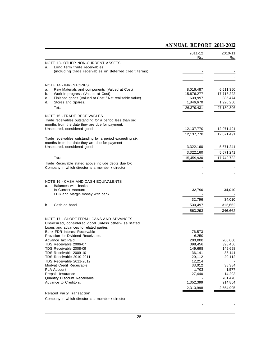# **ANNUAL REPORT 2011-2012**

|          |                                                                                             | 2011-12              | 2010-11              |
|----------|---------------------------------------------------------------------------------------------|----------------------|----------------------|
|          |                                                                                             | Rs.                  | Rs.                  |
|          | <b>NOTE 13- OTHER NON-CURRENT ASSETS</b>                                                    |                      |                      |
| a.       | Long term trade receivables<br>(including trade receivables on deferred credit terms)       |                      |                      |
|          |                                                                                             |                      |                      |
|          |                                                                                             |                      |                      |
|          | <b>NOTE 14 - INVENTORIES</b>                                                                |                      |                      |
| a.       | Raw Materials and components (Valued at Cost)                                               | 8,016,487            | 6,611,360            |
| b.       | Work-in-progress (Valued at Cost)                                                           | 15,876,277           | 17,713,222           |
| c.<br>d. | Finished goods (Valued at Cost / Net realisable Value)<br>Stores and Spares.                | 639,997<br>1,846,670 | 885,474<br>1,920,250 |
|          | Total                                                                                       | 26,379,431           | 27,130,306           |
|          |                                                                                             |                      |                      |
|          | <b>NOTE 15 - TRADE RECEIVABLES</b>                                                          |                      |                      |
|          | Trade receivables outstanding for a period less than six                                    |                      |                      |
|          | months from the date they are due for payment.<br>Unsecured, considered good                | 12,137,770           | 12,071,491           |
|          |                                                                                             |                      |                      |
|          | Trade receivables outstanding for a period exceeding six                                    | 12,137,770           | 12,071,491           |
|          | months from the date they are due for payment                                               |                      |                      |
|          | Unsecured, considered good                                                                  | 3,322,160            | 5,671,241            |
|          |                                                                                             | 3,322,160            | 5,671,241            |
|          | Total                                                                                       | 15,459,930           | 17,742,732           |
|          | Trade Receivable stated above include debts due by:                                         |                      |                      |
|          | Company in which director is a member / director                                            |                      |                      |
|          |                                                                                             |                      |                      |
|          |                                                                                             |                      |                      |
| a.       | NOTE 16 - CASH AND CASH EQUIVALENTS<br>Balances with banks                                  |                      |                      |
|          | In Current Account                                                                          | 32,796               | 34,010               |
|          | FDR and Margin money with bank                                                              |                      |                      |
|          |                                                                                             | 32,796               | 34,010               |
| b.       | Cash on hand                                                                                | 530,497              | 312,652              |
|          |                                                                                             | 563,293              | 346,662              |
|          |                                                                                             |                      |                      |
|          | <b>NOTE 17 - SHORT-TERM LOANS AND ADVANCES</b>                                              |                      |                      |
|          | Unsecured, considered good unless otherwise stated<br>Loans and advances to related parties |                      |                      |
|          | Bank FDR Interest Receivable                                                                | 76,573               |                      |
|          | Provision for Dividend Receivable.                                                          | 6,250                |                      |
|          | Advance Tax Paid.                                                                           | 200,000              | 200,000              |
|          | TDS Receivable 2006-07<br>TDS Receivable 2008-09                                            | 398,456<br>149,698   | 398,456<br>149,698   |
|          | TDS Receivable 2009-10                                                                      | 36,141               | 36,141               |
|          | TDS Receivable 2010-2011                                                                    | 20,112               | 20,112               |
|          | TDS Receivable 2011-2012                                                                    | 12,214               |                      |
|          | Modvat Credit Receivable                                                                    | 33,012               | 38,384               |
|          | <b>PLA Account</b><br>Prepaid Insurance                                                     | 1,703<br>27,440      | 1,577<br>14,203      |
|          | Quantity Discount Receivable.                                                               |                      | 781,470              |
|          | Advance to Creditors.                                                                       | 1,352,399            | 914,864              |
|          |                                                                                             | 2,313,998            | 2,554,905            |
|          | <b>Related Party Transaction</b>                                                            |                      |                      |
|          | Company in which director is a member / director                                            |                      |                      |
|          |                                                                                             |                      |                      |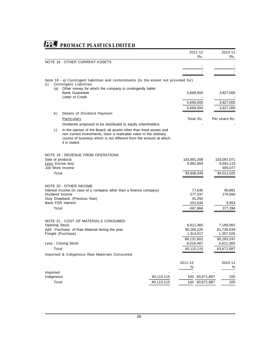|                 |              |                                                                                                                       |            |              | 2011-12<br>Rs. | 2010-11<br>Rs.  |
|-----------------|--------------|-----------------------------------------------------------------------------------------------------------------------|------------|--------------|----------------|-----------------|
|                 |              | <b>NOTE 18 - OTHER CURRENT ASSETS</b>                                                                                 |            |              |                |                 |
|                 |              |                                                                                                                       |            |              |                |                 |
|                 |              |                                                                                                                       |            |              |                |                 |
|                 |              |                                                                                                                       |            |              |                |                 |
| (i)             |              | Note 18 - a) Contingent liabilities and commitments (to the extent not provided for)<br><b>Contingent Liabilities</b> |            |              |                |                 |
|                 |              | (a) Other money for which the company is contingently liable:                                                         |            |              |                |                 |
|                 |              | <b>Bank Guarantee</b>                                                                                                 |            |              | 5,689,000      | 3,827,000       |
|                 |              | Letter of Credit                                                                                                      |            |              |                |                 |
|                 |              |                                                                                                                       |            |              | 5,689,000      | 3,827,000       |
|                 |              |                                                                                                                       |            |              | 5,689,000      | 3,827,000       |
|                 | b)           | <b>Details of Dividend Payment</b>                                                                                    |            |              |                |                 |
|                 |              | <b>Particulars</b>                                                                                                    |            |              | Total Rs.      | Per share Rs.   |
|                 |              | Dividends proposed to be distributed to equity shareholders                                                           |            |              |                |                 |
|                 | c)           | In the opinion of the Board, all assets other than fixed assets and                                                   |            |              |                |                 |
|                 |              | non current investments, have a realisable value in the ordinary                                                      |            |              |                |                 |
|                 |              | course of business which is not different from the amount at which                                                    |            |              |                |                 |
|                 |              | it is stated.                                                                                                         |            |              |                |                 |
|                 |              |                                                                                                                       |            |              |                |                 |
|                 |              | <b>NOTE 19 - REVENUE FROM OPERATIONS</b>                                                                              |            |              |                |                 |
|                 |              | Sale of products                                                                                                      |            | 103,891,308  |                | 103,097,071     |
|                 |              | <b>Less:</b> Excise duty                                                                                              |            |              | 9,952,959      | 9,691,123       |
|                 |              | Job Work Income                                                                                                       |            |              |                | 605,077         |
|                 | Total        |                                                                                                                       |            | 93,938,349   |                | 94,011,025      |
|                 |              |                                                                                                                       |            |              |                |                 |
|                 |              | <b>NOTE 20 - OTHER INCOME</b>                                                                                         |            |              |                |                 |
|                 |              | Interest Income (in case of a company other than a finance company)                                                   |            |              | 77,645         | 90,881          |
| Dividend Income |              |                                                                                                                       |            |              | 277,337        | 276,560         |
|                 |              | Duty Drawback. (Previous Year)                                                                                        |            |              | 41,250         |                 |
|                 |              | <b>Bank FDR Interest</b>                                                                                              |            |              | 101,634        | 9,953           |
|                 | Total        |                                                                                                                       |            |              | 497,866        | 377,394         |
|                 |              |                                                                                                                       |            |              |                |                 |
|                 |              | <b>NOTE 21 - COST OF MATERIALS CONSUMED</b>                                                                           |            |              |                |                 |
|                 |              | <b>Opening Stock</b>                                                                                                  |            |              | 6,611,360      | 7,189,082       |
|                 |              | Add: Purchase of Raw Material during the year.                                                                        |            | 80,206,225   |                | 81,736,639      |
|                 |              | Freight (Purchase)                                                                                                    |            |              | 1,314,017      | 1,357,526       |
|                 |              |                                                                                                                       |            | 88,131,602   |                | 90,283,247      |
|                 |              | Less: Closing Stock                                                                                                   |            |              | 8,016,487      | 6,611,360       |
|                 | Total        |                                                                                                                       |            | 80,115,115   |                | 83,671,887      |
|                 |              | Imported & Indigenous Raw Materials Consumed                                                                          |            |              |                |                 |
|                 |              |                                                                                                                       |            |              |                |                 |
|                 |              |                                                                                                                       |            | 2011-12<br>% |                | 2010-11<br>$\%$ |
|                 | Imported     |                                                                                                                       |            |              |                |                 |
|                 | Indigenous   |                                                                                                                       | 80,115,115 |              | 100 83,671,887 | 100             |
|                 | <b>Total</b> |                                                                                                                       | 80,115,115 | 100          | 83,671,887     | 100             |
|                 |              |                                                                                                                       |            |              |                |                 |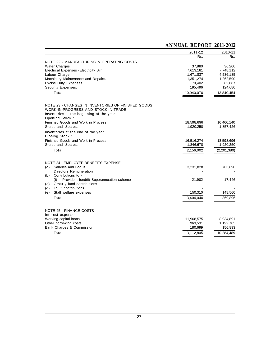|                                                                                                                                                                       | 2011-12    | 2010-11     |
|-----------------------------------------------------------------------------------------------------------------------------------------------------------------------|------------|-------------|
|                                                                                                                                                                       | Rs.        | Rs.         |
| NOTE 22 - MANUFACTURING & OPERATING COSTS                                                                                                                             |            |             |
| <b>Water Charges</b>                                                                                                                                                  | 37,880     | 36,200      |
| Electrical Expenses (Electricity Bill)                                                                                                                                | 7,613,181  | 7,748,112   |
| Labour Charge                                                                                                                                                         | 1,671,837  | 4,586,185   |
| Machinery Maintenance and Repairs.                                                                                                                                    | 1,351,274  | 1,262,590   |
| Excise Duty Expenses.                                                                                                                                                 | 70,402     | 82,687      |
| Security Expenses.                                                                                                                                                    | 195,496    | 124,680     |
| <b>Total</b>                                                                                                                                                          | 10,940,070 | 13,840,454  |
| NOTE 23 - CHANGES IN INVENTORIES OF FINISHED GOODS<br><b>WORK-IN-PROGRESS AND STOCK-IN-TRADE</b><br>Inventories at the beginning of the year<br><b>Opening Stock:</b> |            |             |
| Finished Goods and Work in Process                                                                                                                                    | 18,598,696 | 16,460,140  |
| Stores and Spares.                                                                                                                                                    | 1,920,250  | 1,857,426   |
| Inventories at the end of the year<br><b>Closing Stock:</b>                                                                                                           |            |             |
| Finished Goods and Work in Process                                                                                                                                    | 16,516,274 | 18,598,696  |
| Stores and Spares.                                                                                                                                                    | 1,846,670  | 1,920,250   |
| Total                                                                                                                                                                 | 2,156,002  | (2,201,380) |
| <b>NOTE 24 - EMPLOYEE BENEFITS EXPENSE</b>                                                                                                                            |            |             |
| (a)<br>Salaries and Bonus                                                                                                                                             | 3,231,828  | 703,890     |
| Directors Remuneration                                                                                                                                                |            |             |
| Contributions to -<br>(b)                                                                                                                                             |            |             |
| Provident fund(ii) Superannuation scheme<br>(i)                                                                                                                       | 21,902     | 17,446      |
| Gratuity fund contributions<br>(c)                                                                                                                                    |            |             |
| <b>ESIC</b> contributions<br>(d)                                                                                                                                      |            |             |
| Staff welfare expenses<br>(e)                                                                                                                                         | 150,310    | 148,560     |
| Total                                                                                                                                                                 | 3,404,040  | 869,896     |
| <b>NOTE 25 - FINANCE COSTS</b><br>Interest expense                                                                                                                    |            |             |
| Working capital loans                                                                                                                                                 | 11,968,575 | 8,934,891   |
| Other borrowing costs                                                                                                                                                 | 963,531    | 1,192,705   |
| Bank Charges & Commission                                                                                                                                             | 180,699    | 156,893     |
| <b>Total</b>                                                                                                                                                          | 13,112,805 | 10,284,489  |
|                                                                                                                                                                       |            |             |

# **ANNUAL REPORT 2011-2012**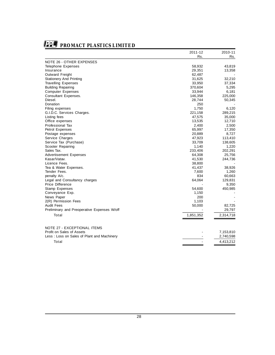

|                                             | 2011-12   | 2010-11   |
|---------------------------------------------|-----------|-----------|
|                                             | Rs.       | Rs.       |
| <b>NOTE 26 - OTHER EXPENSES</b>             |           |           |
| Telephone Expenses                          | 58,932    | 43,819    |
| Insurance                                   | 29,351    | 13,358    |
| Outward Freight                             | 62,487    |           |
| <b>Stationery And Printing</b>              | 31,625    | 32,210    |
| <b>Travelling Expenses</b>                  | 33,950    | 37,334    |
| <b>Building Repairing</b>                   | 370,604   | 5,295     |
| <b>Computer Expenses</b>                    | 33,944    | 6,181     |
| Consultant Expenses.                        | 146,358   | 225,000   |
| Diesel.                                     | 28,744    | 50,345    |
| Donation                                    | 250       |           |
| Filing expenses                             | 1,750     | 6,120     |
| G.I.D.C. Services Charges.                  | 221,158   | 289,215   |
| Listing fees                                | 47,575    | 35,000    |
| Office expenses                             | 13,535    | 12,710    |
| Professional Tax                            | 2,400     | 2,500     |
| Petrol Expenses                             | 65,997    | 17,350    |
| Postage expenses                            | 20,889    | 8,727     |
| Service Charges                             | 47,923    | 113,410   |
| Service Tax (Purchase)                      | 33,709    | 138,605   |
| Scooter Repairing                           | 1,140     | 1,220     |
| Sales Tax.                                  | 233,406   | 202,291   |
| <b>Advertisement Expenses</b>               | 64,308    | 25,756    |
| Kasar/Vatav.                                | 41,530    | 244,736   |
| Licence Fees.                               | 38,800    |           |
| Tea & Water Expenses.                       | 41,437    | 38,926    |
| Tender Fees.                                | 7,600     | 1,260     |
| penalty A/c.                                | 834       | 60,663    |
| Legal and Consultancy charges               | 64,064    | 129,831   |
| Price Difference                            |           | 9,350     |
| <b>Stamp Expenses</b>                       | 54,600    | 450,985   |
| Conveyance Exp.                             | 1,150     |           |
| News Paper                                  | 200       |           |
| 2(R) Permission Fees                        | 1,103     |           |
| <b>Audit Fees</b>                           | 50,000    | 82,725    |
| Preliminary and Preoperative Expenses W/off |           | 29,797    |
| Total                                       | 1,851,352 | 2,314,718 |
|                                             |           |           |
| <b>NOTE 27 - EXCEPTIONAL ITEMS</b>          |           |           |
| Profit on Sales of Assets                   |           | 7,153,810 |
| Less: Loss on Sales of Plant and Machinery  |           | 2,740,598 |
| Total                                       |           | 4,413,212 |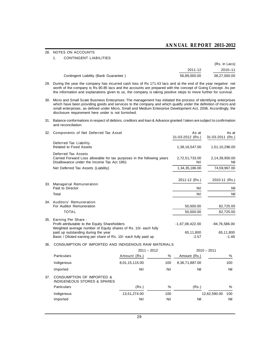# **ANNUAL REPORT 2011-2012**

## **28. NOTES ON ACCOUNTS**

#### **1. CONTINGENT LIABILITIES**

|                                       |              | (Rs. in Lacs) |
|---------------------------------------|--------------|---------------|
|                                       | 2011-12      | 2010-11       |
| Contingent Liability (Bank Guarantee) | 56.89.000.00 | 38,27,000.00  |

- **29. During the year the company has incurred cash loss of Rs 171.43 lacs and at the end of the year negative net worth of the company is Rs.90.85 lacs and the accounts are prepared with the concept of Going Concept. As per the information and explanations given to us, the company is taking positive steps to move further for survival.**
- **30. Micro and Small Scale Business Enterprises: The management has initiated the process of identifying enterprises which have been providing goods and services to the company and which qualify under the definition of micro and small enterprises, as defined under Micro, Small and Medium Enterprise Development Act, 2006. Accordingly, the disclosure requirement here under is not furnished.**
- **31. Balance conformations in respect of debtors, creditors and loan & Advance granted / taken are subject to confirmation and reconciliation.**

| 32. | <b>Components of Net Deferred Tax Asset</b>                                                                                                                                                                                                            | As at<br>31-03-2012 (Rs.)                 | As at<br>31-03-2011 (Rs.)             |
|-----|--------------------------------------------------------------------------------------------------------------------------------------------------------------------------------------------------------------------------------------------------------|-------------------------------------------|---------------------------------------|
|     | Deferred Tax Liability<br>Related to Fixed Assets                                                                                                                                                                                                      | 1,38,16,547.00                            | 1,51,10,296.00                        |
|     | Deferred Tax Assets<br>Carried Forward Loss allowable for tax purposes in the following years<br>Disallowance under the Income Tax Act 1961                                                                                                            | 2,72,51,733.00<br>Nil                     | 2,14,39,950.00<br>Nil                 |
|     | Net Deferred Tax Assets (Liability)                                                                                                                                                                                                                    | 1,34,35,186.00                            | 74,59,967.00                          |
|     | 33. Managerial Remuneration<br>Paid to Director                                                                                                                                                                                                        | 2011-12 (Rs.)<br>Nil                      | 2010-11 (Rs.)<br>Nil                  |
|     | Total                                                                                                                                                                                                                                                  | Nil                                       | Nil                                   |
|     | 34. Auditors' Remuneration<br>For Auditor Remuneration<br><b>TOTAL</b>                                                                                                                                                                                 | 50,000.00<br>50,000.00                    | 82,725.00<br>82,725.00                |
|     | 35. Earning Per Share:<br>Profit attributable to the Equity Shareholders<br>Weighted average number of Equity shares of Rs. 10/- each fully<br>paid up outstanding during the year<br>Basic / Diluted earning per share of Rs. 10/- each fully paid up | $-1,67,08,422.00$<br>65,11,800<br>$-2.57$ | $-94,76,586.00$<br>65,11,800<br>-1.46 |

## **36. CONSUMPTION OF IMPORTED AND INDIGENOUS RAW MATERIALS**

|     |                                                                                |                | $2011 - 2012$ |                | $2010 - 2011$ |      |
|-----|--------------------------------------------------------------------------------|----------------|---------------|----------------|---------------|------|
|     | <b>Particulars</b>                                                             | Amount (Rs.)   | %             | Amount (Rs.)   |               | $\%$ |
|     | Indigenous                                                                     | 8,01,15,115.00 | 100           | 8,36,71,887.00 |               | 100  |
|     | Imported                                                                       | Nil            | <b>Nil</b>    | Nil            |               | Nil  |
| 37. | <b>CONSUMPTION OF IMPORTED &amp;</b><br><b>INDIGENEOUS STORES &amp; SPARES</b> |                |               |                |               |      |
|     | <b>Particulars</b>                                                             | (Rs.)          | %             | (Rs.)          |               | $\%$ |
|     | Indigenous                                                                     | 13,51,274.00   | 100           |                | 12,62,590.00  | 100  |
|     | Imported                                                                       | Nil            | Nil           | Nil            |               | Nil  |
|     |                                                                                |                |               |                |               |      |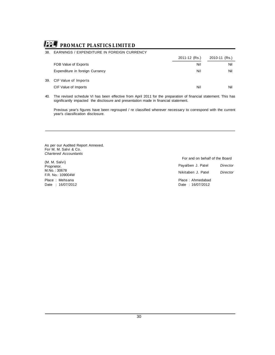### **38. EARNINGS / EXPENDITURE IN FOREIGN CURRENCY**

|     |                                 | 2011-12 (Rs.) | 2010-11 (Rs.) |
|-----|---------------------------------|---------------|---------------|
|     | FOB Value of Exports            | Nil           | Nil           |
|     | Expenditure in foreign Currancy | <b>Nil</b>    | Nil           |
| 39. | <b>CIF Value of Imports</b>     |               |               |
|     | CIF Value of Imports            | <b>Nil</b>    | Nil           |

**40. The revised schedule VI has been effective from April 2011 for the preparation of financial statement. This has significantly impacted the disclosure and presentation made in financial statement.**

**Previous year's figures have been regrouped / re classified wherever necessary to correspond with the current year's classification disclosure.**

**As per our Audited Report Annexed. For M. M. Salvi & Co.** *Chartered Accountants*

#### **(M. M. Salvi) Proprietor. M.No. : 30678 F.R. No.: 109004W Place : Mehsana Date : 16/07/2012**

**For and on behalf of the Board**

| Payalben J. Patel                    | Director |
|--------------------------------------|----------|
| Nikitaben J. Patel                   | Director |
| Place: Ahmedabad<br>Date: 16/07/2012 |          |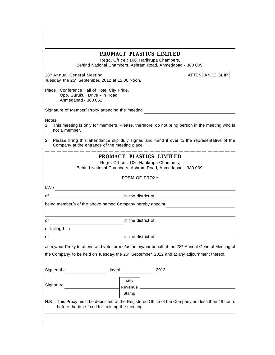|                                                                     | PROMACT PLASTICS LIMITED<br>Regd. Office: 106, Harikrupa Chambers,<br>Behind National Chambers, Ashram Road, Ahmedabad - 380 009.                                                                                              |                                                                                                          |
|---------------------------------------------------------------------|--------------------------------------------------------------------------------------------------------------------------------------------------------------------------------------------------------------------------------|----------------------------------------------------------------------------------------------------------|
| 28 <sup>th</sup> Annual General Meeting                             | Tuesday, the 25 <sup>th</sup> September, 2012 at 12.00 Noon.                                                                                                                                                                   | <b>ATTENDANCE SLIP</b>                                                                                   |
| Place: Conference Hall of Hotel City Pride,<br>Ahmedabad - 380 052. | Opp. Gurukul, Drive - In Road,                                                                                                                                                                                                 |                                                                                                          |
|                                                                     | Signature of Member/ Proxy attending the meeting                                                                                                                                                                               |                                                                                                          |
| Notes:<br>1.<br>not a member.                                       | This meeting is only for members. Please, therefore, do not bring person in the meeting who is                                                                                                                                 |                                                                                                          |
|                                                                     | 2. Please bring this attendance slip duly signed and hand it over to the representative of the<br>Company at the entrance of the meeting place.                                                                                |                                                                                                          |
|                                                                     | PROMACT PLASTICS LIMITED<br>Regd. Office: 106, Harikrupa Chambers,<br>Behind National Chambers, Ashram Road, Ahmedabad - 380 009.                                                                                              |                                                                                                          |
|                                                                     | <b>FORM OF PROXY</b>                                                                                                                                                                                                           |                                                                                                          |
|                                                                     |                                                                                                                                                                                                                                |                                                                                                          |
| of                                                                  | and the district of the district of the district of the state of the state of the state of the state of the state of the state of the state of the state of the state of the state of the state of the state of the state of t |                                                                                                          |
|                                                                     | being member/s of the above named Company hereby appoint                                                                                                                                                                       |                                                                                                          |
| of                                                                  | in the district of                                                                                                                                                                                                             |                                                                                                          |
| or failing him                                                      |                                                                                                                                                                                                                                |                                                                                                          |
| οf                                                                  | in the district of                                                                                                                                                                                                             |                                                                                                          |
|                                                                     | as my/our Proxy to attend and vote for me/us on my/our behalf at the 28 <sup>th</sup> Annual General Meeting of                                                                                                                | the Company, to be held on Tuesday, the 25 <sup>th</sup> September, 2012 and at any adjournment thereof. |
|                                                                     |                                                                                                                                                                                                                                |                                                                                                          |
| Signed the                                                          | day of<br>2012.                                                                                                                                                                                                                |                                                                                                          |
| Signature                                                           | Affix<br>Revenue<br>Stamp                                                                                                                                                                                                      |                                                                                                          |